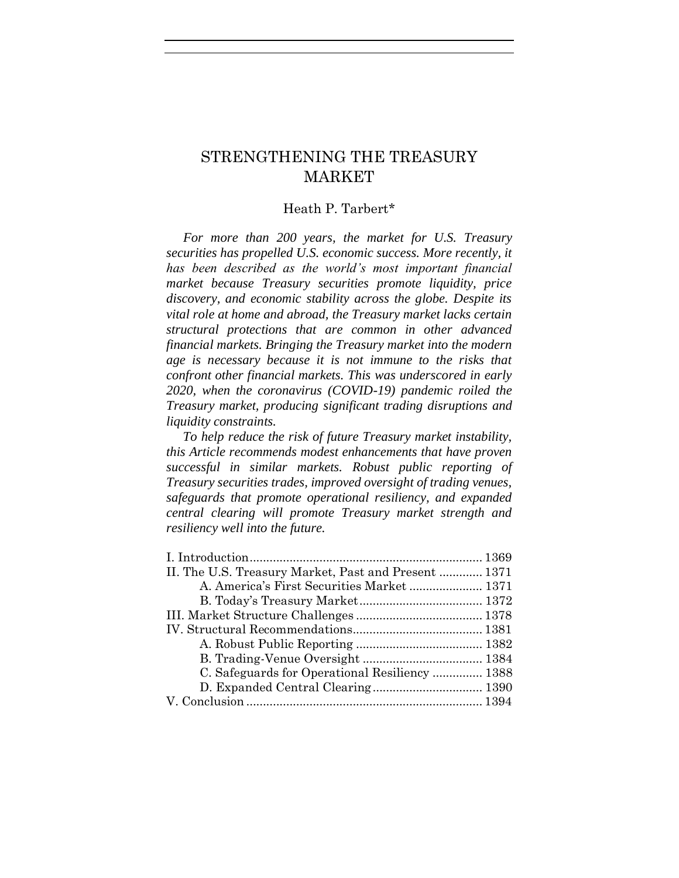# STRENGTHENING THE TREASURY MARKET

# Heath P. Tarbert\*

 *For more than 200 years, the market for U.S. Treasury securities has propelled U.S. economic success. More recently, it has been described as the world's most important financial market because Treasury securities promote liquidity, price discovery, and economic stability across the globe. Despite its vital role at home and abroad, the Treasury market lacks certain structural protections that are common in other advanced financial markets. Bringing the Treasury market into the modern age is necessary because it is not immune to the risks that confront other financial markets. This was underscored in early 2020, when the coronavirus (COVID-19) pandemic roiled the Treasury market, producing significant trading disruptions and liquidity constraints.*

 *To help reduce the risk of future Treasury market instability, this Article recommends modest enhancements that have proven successful in similar markets. Robust public reporting of Treasury securities trades, improved oversight of trading venues, safeguards that promote operational resiliency, and expanded central clearing will promote Treasury market strength and resiliency well into the future.*

| II. The U.S. Treasury Market, Past and Present  1371 |  |
|------------------------------------------------------|--|
| A. America's First Securities Market  1371           |  |
|                                                      |  |
|                                                      |  |
|                                                      |  |
|                                                      |  |
|                                                      |  |
| C. Safeguards for Operational Resiliency  1388       |  |
|                                                      |  |
|                                                      |  |
|                                                      |  |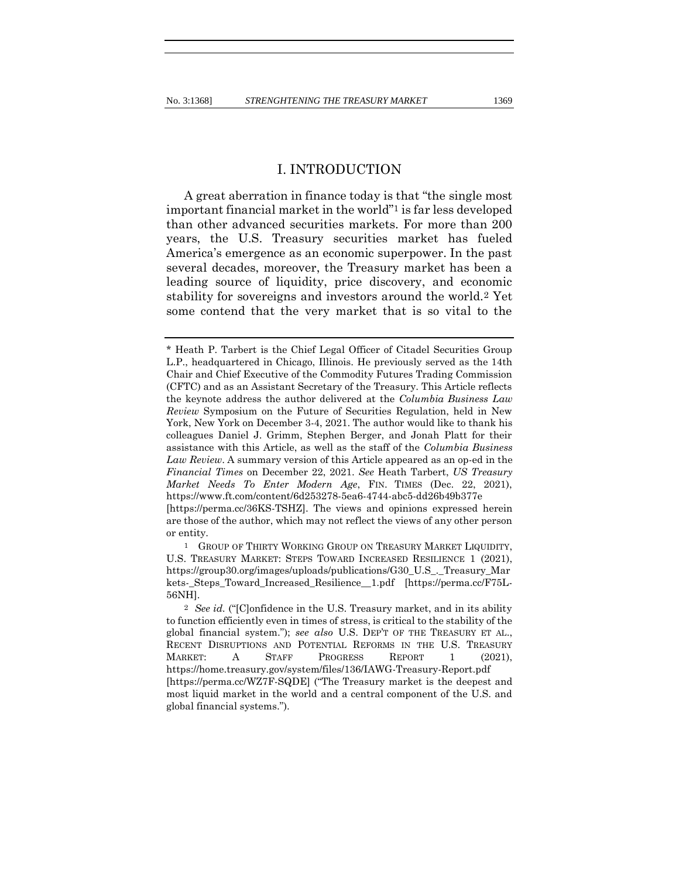A great aberration in finance today is that "the single most important financial market in the world"1 is far less developed than other advanced securities markets. For more than 200 years, the U.S. Treasury securities market has fueled America's emergence as an economic superpower. In the past several decades, moreover, the Treasury market has been a leading source of liquidity, price discovery, and economic stability for sovereigns and investors around the world.2 Yet some contend that the very market that is so vital to the

are those of the author, which may not reflect the views of any other person or entity.

1 GROUP OF THIRTY WORKING GROUP ON TREASURY MARKET LIQUIDITY, U.S. TREASURY MARKET: STEPS TOWARD INCREASED RESILIENCE 1 (2021), https://group30.org/images/uploads/publications/G30\_U.S\_.\_Treasury\_Mar kets-\_Steps\_Toward\_Increased\_Resilience\_\_1.pdf [https://perma.cc/F75L-56NH].

<sup>\*</sup> Heath P. Tarbert is the Chief Legal Officer of Citadel Securities Group L.P., headquartered in Chicago, Illinois. He previously served as the 14th Chair and Chief Executive of the Commodity Futures Trading Commission (CFTC) and as an Assistant Secretary of the Treasury. This Article reflects the keynote address the author delivered at the *Columbia Business Law Review* Symposium on the Future of Securities Regulation, held in New York, New York on December 3-4, 2021. The author would like to thank his colleagues Daniel J. Grimm, Stephen Berger, and Jonah Platt for their assistance with this Article, as well as the staff of the *Columbia Business Law Review*. A summary version of this Article appeared as an op-ed in the *Financial Times* on December 22, 2021. *See* Heath Tarbert, *US Treasury Market Needs To Enter Modern Age*, FIN. TIMES (Dec. 22, 2021), https://www.ft.com/content/6d253278-5ea6-4744-abc5-dd26b49b377e [https://perma.cc/36KS-TSHZ]. The views and opinions expressed herein

<sup>2</sup> *See id.* ("[C]onfidence in the U.S. Treasury market, and in its ability to function efficiently even in times of stress, is critical to the stability of the global financial system."); *see also* U.S. DEP'T OF THE TREASURY ET AL., RECENT DISRUPTIONS AND POTENTIAL REFORMS IN THE U.S. TREASURY MARKET: A STAFF PROGRESS REPORT 1 (2021), https://home.treasury.gov/system/files/136/IAWG-Treasury-Report.pdf [https://perma.cc/WZ7F-SQDE] ("The Treasury market is the deepest and most liquid market in the world and a central component of the U.S. and global financial systems.").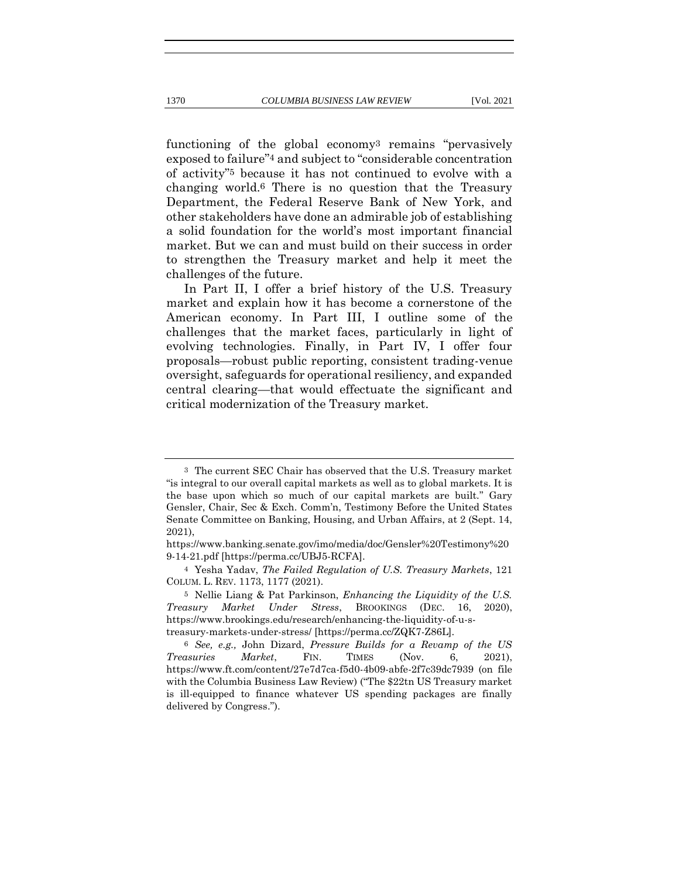functioning of the global economy3 remains "pervasively exposed to failure"4 and subject to "considerable concentration of activity"5 because it has not continued to evolve with a changing world.6 There is no question that the Treasury Department, the Federal Reserve Bank of New York, and other stakeholders have done an admirable job of establishing a solid foundation for the world's most important financial market. But we can and must build on their success in order to strengthen the Treasury market and help it meet the challenges of the future.

In Part II, I offer a brief history of the U.S. Treasury market and explain how it has become a cornerstone of the American economy. In Part III, I outline some of the challenges that the market faces, particularly in light of evolving technologies. Finally, in Part IV, I offer four proposals—robust public reporting, consistent trading-venue oversight, safeguards for operational resiliency, and expanded central clearing—that would effectuate the significant and critical modernization of the Treasury market.

<sup>3</sup> The current SEC Chair has observed that the U.S. Treasury market "is integral to our overall capital markets as well as to global markets. It is the base upon which so much of our capital markets are built." Gary Gensler, Chair, Sec & Exch. Comm'n, Testimony Before the United States Senate Committee on Banking, Housing, and Urban Affairs, at 2 (Sept. 14, 2021),

https://www.banking.senate.gov/imo/media/doc/Gensler%20Testimony%20 9-14-21.pdf [https://perma.cc/UBJ5-RCFA].

<sup>4</sup> Yesha Yadav, *The Failed Regulation of U.S. Treasury Markets*, 121 COLUM. L. REV. 1173, 1177 (2021).

<sup>5</sup> Nellie Liang & Pat Parkinson, *Enhancing the Liquidity of the U.S. Treasury Market Under Stress*, BROOKINGS (DEC. 16, 2020), https://www.brookings.edu/research/enhancing-the-liquidity-of-u-streasury-markets-under-stress/ [https://perma.cc/ZQK7-Z86L].

<sup>6</sup> *See, e.g.,* John Dizard, *Pressure Builds for a Revamp of the US Treasuries Market*, FIN. TIMES (Nov. 6, 2021), https://www.ft.com/content/27e7d7ca-f5d0-4b09-abfe-2f7c39dc7939 (on file with the Columbia Business Law Review) ("The \$22tn US Treasury market is ill-equipped to finance whatever US spending packages are finally delivered by Congress.").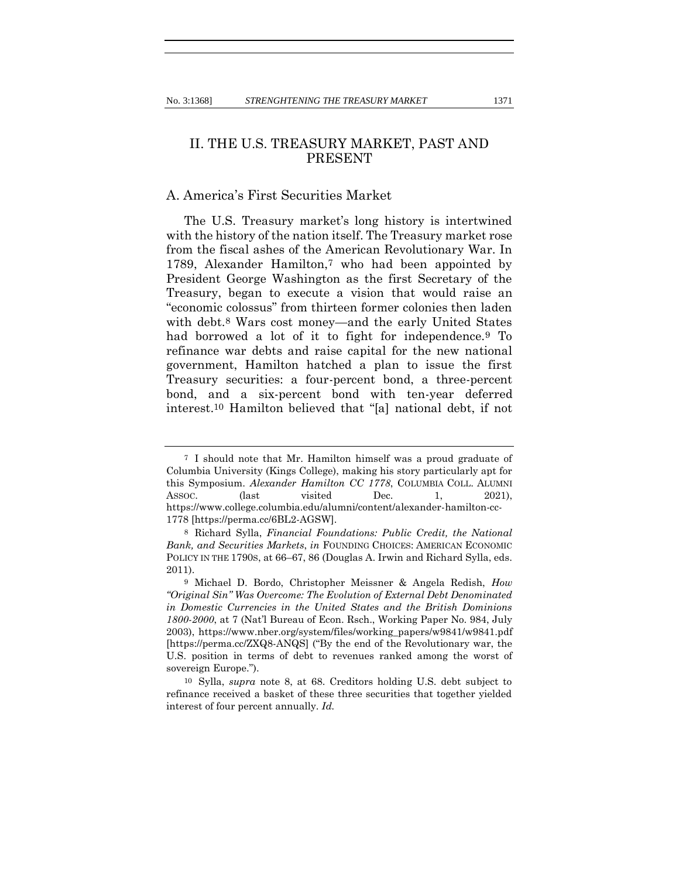## II. THE U.S. TREASURY MARKET, PAST AND PRESENT

### A. America's First Securities Market

The U.S. Treasury market's long history is intertwined with the history of the nation itself. The Treasury market rose from the fiscal ashes of the American Revolutionary War. In 1789, Alexander Hamilton,7 who had been appointed by President George Washington as the first Secretary of the Treasury, began to execute a vision that would raise an "economic colossus" from thirteen former colonies then laden with debt.8 Wars cost money—and the early United States had borrowed a lot of it to fight for independence.9 To refinance war debts and raise capital for the new national government, Hamilton hatched a plan to issue the first Treasury securities: a four-percent bond, a three-percent bond, and a six-percent bond with ten-year deferred interest.10 Hamilton believed that "[a] national debt, if not

<sup>7</sup> I should note that Mr. Hamilton himself was a proud graduate of Columbia University (Kings College), making his story particularly apt for this Symposium. *Alexander Hamilton CC 1778*, COLUMBIA COLL. ALUMNI Assoc. (last visited Dec. 1, 2021), https://www.college.columbia.edu/alumni/content/alexander-hamilton-cc-1778 [https://perma.cc/6BL2-AGSW].

<sup>8</sup> Richard Sylla, *Financial Foundations: Public Credit, the National Bank, and Securities Markets*, *in* FOUNDING CHOICES: AMERICAN ECONOMIC POLICY IN THE 1790S, at 66–67, 86 (Douglas A. Irwin and Richard Sylla, eds. 2011).

<sup>9</sup> Michael D. Bordo, Christopher Meissner & Angela Redish, *How "Original Sin" Was Overcome: The Evolution of External Debt Denominated in Domestic Currencies in the United States and the British Dominions 1800-2000*, at 7 (Nat'l Bureau of Econ. Rsch., Working Paper No. 984, July 2003), https://www.nber.org/system/files/working\_papers/w9841/w9841.pdf [https://perma.cc/ZXQ8-ANQS] ("By the end of the Revolutionary war, the U.S. position in terms of debt to revenues ranked among the worst of sovereign Europe.").

<sup>10</sup> Sylla, *supra* note 8, at 68. Creditors holding U.S. debt subject to refinance received a basket of these three securities that together yielded interest of four percent annually. *Id.*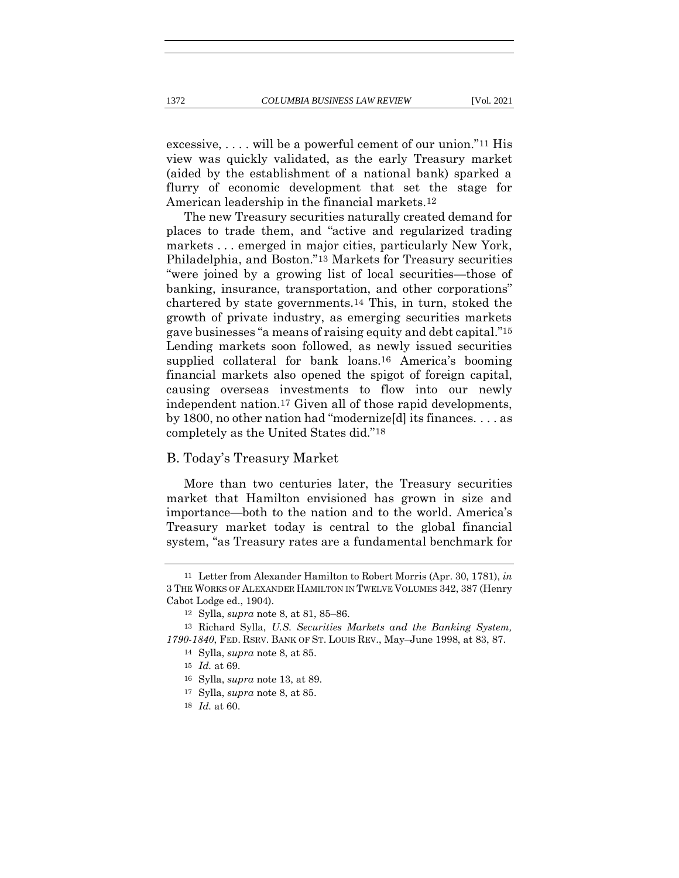excessive,  $\dots$  will be a powerful cement of our union."<sup>11</sup> His view was quickly validated, as the early Treasury market (aided by the establishment of a national bank) sparked a flurry of economic development that set the stage for American leadership in the financial markets.12

The new Treasury securities naturally created demand for places to trade them, and "active and regularized trading markets . . . emerged in major cities, particularly New York, Philadelphia, and Boston."13 Markets for Treasury securities "were joined by a growing list of local securities—those of banking, insurance, transportation, and other corporations" chartered by state governments.14 This, in turn, stoked the growth of private industry, as emerging securities markets gave businesses "a means of raising equity and debt capital."15 Lending markets soon followed, as newly issued securities supplied collateral for bank loans.<sup>16</sup> America's booming financial markets also opened the spigot of foreign capital, causing overseas investments to flow into our newly independent nation.17 Given all of those rapid developments, by 1800, no other nation had "modernize[d] its finances. . . . as completely as the United States did."18

#### B. Today's Treasury Market

More than two centuries later, the Treasury securities market that Hamilton envisioned has grown in size and importance—both to the nation and to the world. America's Treasury market today is central to the global financial system, "as Treasury rates are a fundamental benchmark for

<sup>11</sup> Letter from Alexander Hamilton to Robert Morris (Apr. 30, 1781), *in*  3 THE WORKS OF ALEXANDER HAMILTON IN TWELVE VOLUMES 342, 387 (Henry Cabot Lodge ed., 1904).

<sup>12</sup> Sylla, *supra* note 8, at 81, 85–86.

<sup>13</sup> Richard Sylla, *U.S. Securities Markets and the Banking System, 1790-1840*, FED. RSRV. BANK OF ST. LOUIS REV., May–June 1998, at 83, 87.

<sup>14</sup> Sylla, *supra* note 8, at 85.

<sup>15</sup> *Id.* at 69.

<sup>16</sup> Sylla, *supra* note 13, at 89.

<sup>17</sup> Sylla, *supra* note 8, at 85.

<sup>18</sup> *Id.* at 60.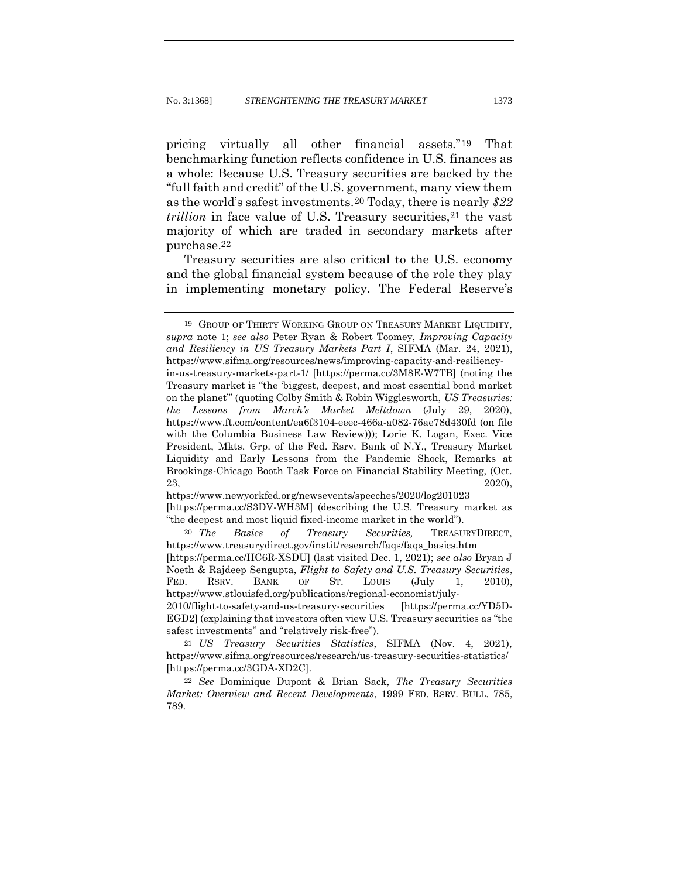pricing virtually all other financial assets."19 That benchmarking function reflects confidence in U.S. finances as a whole: Because U.S. Treasury securities are backed by the "full faith and credit" of the U.S. government, many view them as the world's safest investments.20 Today, there is nearly *\$22 trillion* in face value of U.S. Treasury securities, <sup>21</sup> the vast majority of which are traded in secondary markets after purchase.22

Treasury securities are also critical to the U.S. economy and the global financial system because of the role they play in implementing monetary policy. The Federal Reserve's

https://www.newyorkfed.org/newsevents/speeches/2020/log201023 [https://perma.cc/S3DV-WH3M] (describing the U.S. Treasury market as "the deepest and most liquid fixed-income market in the world").

20 *The Basics of Treasury Securities,* TREASURYDIRECT, https://www.treasurydirect.gov/instit/research/faqs/faqs\_basics.htm [https://perma.cc/HC6R-XSDU] (last visited Dec. 1, 2021); *see also* Bryan J Noeth & Rajdeep Sengupta, *Flight to Safety and U.S. Treasury Securities*, FED. RSRV. BANK OF ST. LOUIS (July 1, 2010), https://www.stlouisfed.org/publications/regional-economist/july-2010/flight-to-safety-and-us-treasury-securities [https://perma.cc/YD5D-EGD2] (explaining that investors often view U.S. Treasury securities as "the

<sup>19</sup> GROUP OF THIRTY WORKING GROUP ON TREASURY MARKET LIQUIDITY, *supra* note 1; *see also* Peter Ryan & Robert Toomey, *Improving Capacity and Resiliency in US Treasury Markets Part I*, SIFMA (Mar. 24, 2021), https://www.sifma.org/resources/news/improving-capacity-and-resiliencyin-us-treasury-markets-part-1/ [https://perma.cc/3M8E-W7TB] (noting the Treasury market is "the 'biggest, deepest, and most essential bond market on the planet'" (quoting Colby Smith & Robin Wigglesworth, *US Treasuries: the Lessons from March's Market Meltdown* (July 29, 2020), https://www.ft.com/content/ea6f3104-eeec-466a-a082-76ae78d430fd (on file with the Columbia Business Law Review))); Lorie K. Logan, Exec. Vice President, Mkts. Grp. of the Fed. Rsrv. Bank of N.Y., Treasury Market Liquidity and Early Lessons from the Pandemic Shock, Remarks at Brookings-Chicago Booth Task Force on Financial Stability Meeting, (Oct.  $23,$  2020),

safest investments" and "relatively risk-free").

<sup>21</sup> *US Treasury Securities Statistics*, SIFMA (Nov. 4, 2021), https://www.sifma.org/resources/research/us-treasury-securities-statistics/ [https://perma.cc/3GDA-XD2C].

<sup>22</sup> *See* Dominique Dupont & Brian Sack, *The Treasury Securities Market: Overview and Recent Developments*, 1999 FED. RSRV. BULL. 785, 789.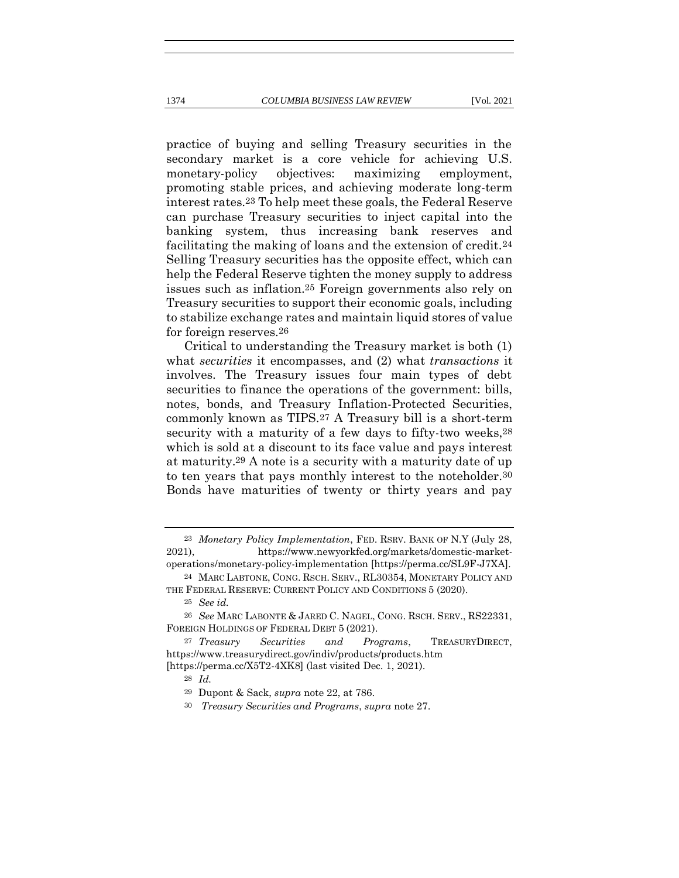practice of buying and selling Treasury securities in the secondary market is a core vehicle for achieving U.S. monetary-policy objectives: maximizing employment, promoting stable prices, and achieving moderate long-term interest rates.23 To help meet these goals, the Federal Reserve can purchase Treasury securities to inject capital into the banking system, thus increasing bank reserves and facilitating the making of loans and the extension of credit.24 Selling Treasury securities has the opposite effect, which can help the Federal Reserve tighten the money supply to address issues such as inflation.25 Foreign governments also rely on Treasury securities to support their economic goals, including to stabilize exchange rates and maintain liquid stores of value for foreign reserves.26

Critical to understanding the Treasury market is both (1) what *securities* it encompasses, and (2) what *transactions* it involves. The Treasury issues four main types of debt securities to finance the operations of the government: bills, notes, bonds, and Treasury Inflation-Protected Securities, commonly known as TIPS.27 A Treasury bill is a short-term security with a maturity of a few days to fifty-two weeks,  $28$ which is sold at a discount to its face value and pays interest at maturity.29 A note is a security with a maturity date of up to ten years that pays monthly interest to the noteholder.30 Bonds have maturities of twenty or thirty years and pay

<sup>23</sup> *Monetary Policy Implementation*, FED. RSRV. BANK OF N.Y (July 28, 2021), https://www.newyorkfed.org/markets/domestic-marketoperations/monetary-policy-implementation [https://perma.cc/SL9F-J7XA].

<sup>24</sup> MARC LABTONE, CONG. RSCH. SERV., RL30354, MONETARY POLICY AND THE FEDERAL RESERVE: CURRENT POLICY AND CONDITIONS 5 (2020).

<sup>25</sup> *See id.*

<sup>26</sup> *See* MARC LABONTE & JARED C. NAGEL, CONG. RSCH. SERV., RS22331, FOREIGN HOLDINGS OF FEDERAL DEBT 5 (2021).

<sup>27</sup> *Treasury Securities and Programs*, TREASURYDIRECT, https://www.treasurydirect.gov/indiv/products/products.htm [https://perma.cc/X5T2-4XK8] (last visited Dec. 1, 2021).

<sup>28</sup> *Id.*

<sup>29</sup> Dupont & Sack, *supra* note 22, at 786.

<sup>30</sup> *Treasury Securities and Programs*, *supra* note 27.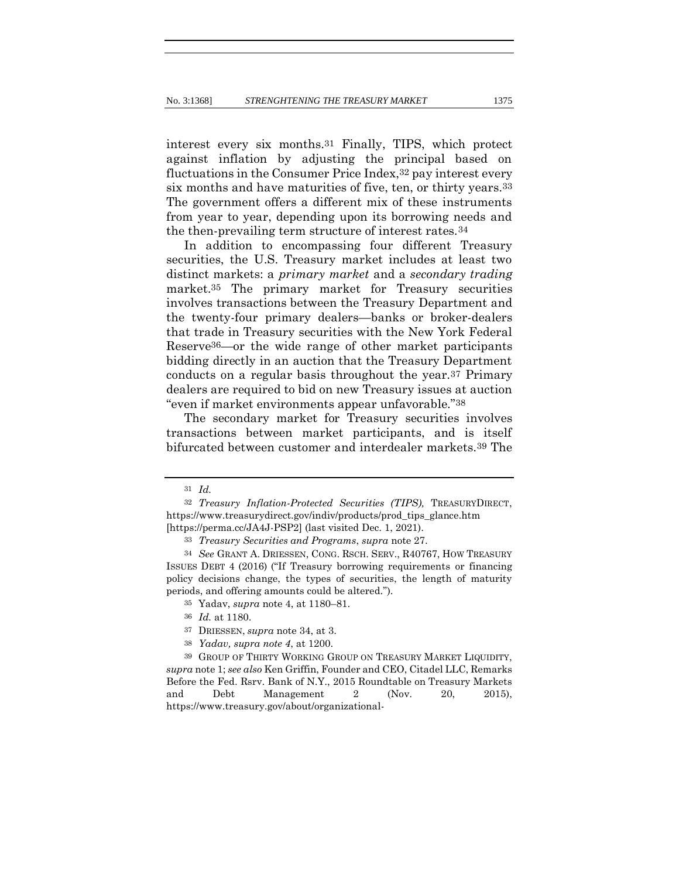interest every six months.31 Finally, TIPS, which protect against inflation by adjusting the principal based on fluctuations in the Consumer Price Index,32 pay interest every six months and have maturities of five, ten, or thirty years.33 The government offers a different mix of these instruments from year to year, depending upon its borrowing needs and the then-prevailing term structure of interest rates.34

In addition to encompassing four different Treasury securities, the U.S. Treasury market includes at least two distinct markets: a *primary market* and a *secondary trading* market.35 The primary market for Treasury securities involves transactions between the Treasury Department and the twenty-four primary dealers—banks or broker-dealers that trade in Treasury securities with the New York Federal Reserve36—or the wide range of other market participants bidding directly in an auction that the Treasury Department conducts on a regular basis throughout the year.37 Primary dealers are required to bid on new Treasury issues at auction "even if market environments appear unfavorable."38

The secondary market for Treasury securities involves transactions between market participants, and is itself bifurcated between customer and interdealer markets.39 The

38 *Yadav, supra note 4*, at 1200.

39 GROUP OF THIRTY WORKING GROUP ON TREASURY MARKET LIQUIDITY, *supra* note 1; *see also* Ken Griffin, Founder and CEO, Citadel LLC, Remarks Before the Fed. Rsrv. Bank of N.Y., 2015 Roundtable on Treasury Markets and Debt Management 2 (Nov. 20, 2015), https://www.treasury.gov/about/organizational-

<sup>31</sup> *Id.*

<sup>32</sup> *Treasury Inflation-Protected Securities (TIPS),* TREASURYDIRECT, https://www.treasurydirect.gov/indiv/products/prod\_tips\_glance.htm [https://perma.cc/JA4J-PSP2] (last visited Dec. 1, 2021).

<sup>33</sup> *Treasury Securities and Programs*, *supra* note 27.

<sup>34</sup> *See* GRANT A. DRIESSEN, CONG. RSCH. SERV., R40767, HOW TREASURY ISSUES DEBT 4 (2016) ("If Treasury borrowing requirements or financing policy decisions change, the types of securities, the length of maturity periods, and offering amounts could be altered.").

<sup>35</sup> Yadav, *supra* note 4, at 1180–81.

<sup>36</sup> *Id.* at 1180.

<sup>37</sup> DRIESSEN, *supra* note 34, at 3.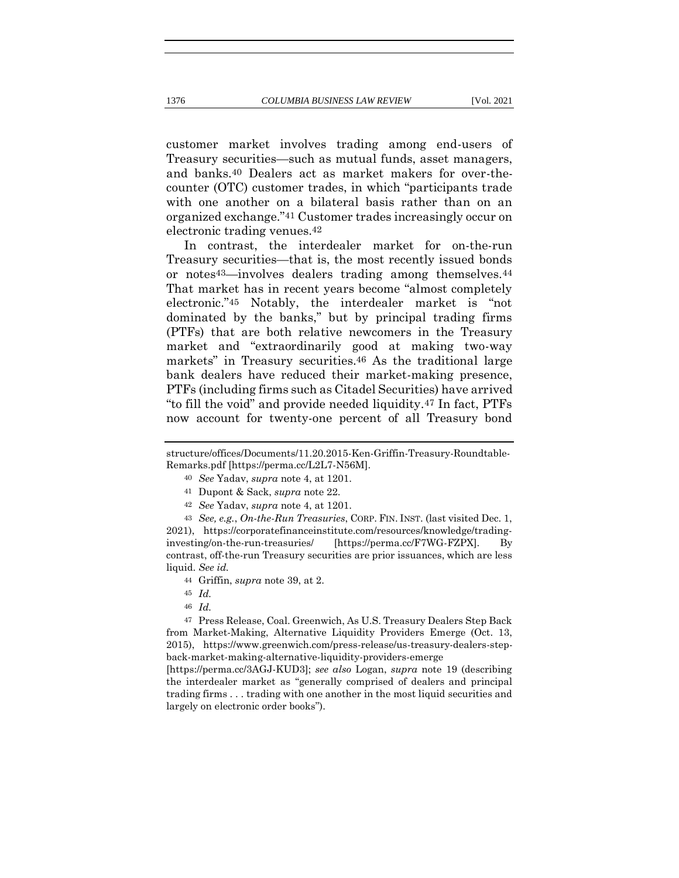customer market involves trading among end-users of Treasury securities—such as mutual funds, asset managers, and banks.40 Dealers act as market makers for over-thecounter (OTC) customer trades, in which "participants trade with one another on a bilateral basis rather than on an organized exchange."41 Customer trades increasingly occur on electronic trading venues.42

In contrast, the interdealer market for on-the-run Treasury securities—that is, the most recently issued bonds or notes43—involves dealers trading among themselves.44 That market has in recent years become "almost completely electronic."45 Notably, the interdealer market is "not dominated by the banks," but by principal trading firms (PTFs) that are both relative newcomers in the Treasury market and "extraordinarily good at making two-way markets" in Treasury securities.46 As the traditional large bank dealers have reduced their market-making presence, PTFs (including firms such as Citadel Securities) have arrived "to fill the void" and provide needed liquidity.47 In fact, PTFs now account for twenty-one percent of all Treasury bond

- 40 *See* Yadav, *supra* note 4, at 1201.
- 41 Dupont & Sack, *supra* note 22.
- 42 *See* Yadav, *supra* note 4, at 1201.

43 *See, e.g.*, *On-the-Run Treasuries*, CORP. FIN. INST. (last visited Dec. 1, 2021), https://corporatefinanceinstitute.com/resources/knowledge/tradinginvesting/on-the-run-treasuries/ [https://perma.cc/F7WG-FZPX]. By contrast, off-the-run Treasury securities are prior issuances, which are less liquid. *See id.*

- 44 Griffin, *supra* note 39, at 2.
- 45 *Id.*
- 46 *Id.*

47 Press Release, Coal. Greenwich, As U.S. Treasury Dealers Step Back from Market-Making, Alternative Liquidity Providers Emerge (Oct. 13, 2015), https://www.greenwich.com/press-release/us-treasury-dealers-stepback-market-making-alternative-liquidity-providers-emerge

[https://perma.cc/3AGJ-KUD3]; *see also* Logan, *supra* note 19 (describing the interdealer market as "generally comprised of dealers and principal trading firms . . . trading with one another in the most liquid securities and largely on electronic order books").

structure/offices/Documents/11.20.2015-Ken-Griffin-Treasury-Roundtable-Remarks.pdf [https://perma.cc/L2L7-N56M].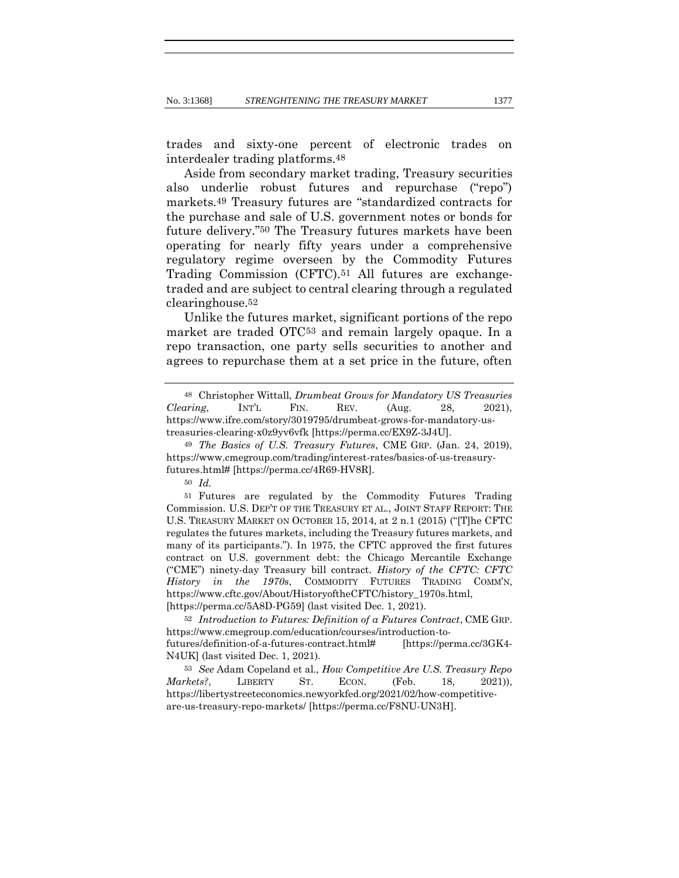trades and sixty-one percent of electronic trades on interdealer trading platforms.48

Aside from secondary market trading, Treasury securities also underlie robust futures and repurchase ("repo") markets.49 Treasury futures are "standardized contracts for the purchase and sale of U.S. government notes or bonds for future delivery."50 The Treasury futures markets have been operating for nearly fifty years under a comprehensive regulatory regime overseen by the Commodity Futures Trading Commission (CFTC).51 All futures are exchangetraded and are subject to central clearing through a regulated clearinghouse.52

Unlike the futures market, significant portions of the repo market are traded OTC53 and remain largely opaque. In a repo transaction, one party sells securities to another and agrees to repurchase them at a set price in the future, often

<sup>48</sup> Christopher Wittall, *Drumbeat Grows for Mandatory US Treasuries Clearing*, INT'L FIN. REV. (Aug. 28, 2021), https://www.ifre.com/story/3019795/drumbeat-grows-for-mandatory-ustreasuries-clearing-x0z9yv6vfk [https://perma.cc/EX9Z-3J4U].

<sup>49</sup> *The Basics of U.S. Treasury Futures*, CME GRP. (Jan. 24, 2019), https://www.cmegroup.com/trading/interest-rates/basics-of-us-treasuryfutures.html# [https://perma.cc/4R69-HV8R].

<sup>50</sup> *Id.*

<sup>51</sup> Futures are regulated by the Commodity Futures Trading Commission. U.S. DEP'T OF THE TREASURY ET AL., JOINT STAFF REPORT: THE U.S. TREASURY MARKET ON OCTOBER 15, 2014, at 2 n.1 (2015) ("[T]he CFTC regulates the futures markets, including the Treasury futures markets, and many of its participants."). In 1975, the CFTC approved the first futures contract on U.S. government debt: the Chicago Mercantile Exchange ("CME") ninety-day Treasury bill contract. *History of the CFTC: CFTC History in the 1970s*, COMMODITY FUTURES TRADING COMM'N, https://www.cftc.gov/About/HistoryoftheCFTC/history\_1970s.html, [https://perma.cc/5A8D-PG59] (last visited Dec. 1, 2021).

<sup>52</sup> *Introduction to Futures: Definition of a Futures Contract*, CME GRP. https://www.cmegroup.com/education/courses/introduction-tofutures/definition-of-a-futures-contract.html# [https://perma.cc/3GK4- N4UK] (last visited Dec. 1, 2021).

<sup>53</sup> *See* Adam Copeland et al*., How Competitive Are U.S. Treasury Repo Markets?*, LIBERTY ST. ECON. (Feb. 18, 2021)), https://libertystreeteconomics.newyorkfed.org/2021/02/how-competitiveare-us-treasury-repo-markets/ [https://perma.cc/F8NU-UN3H].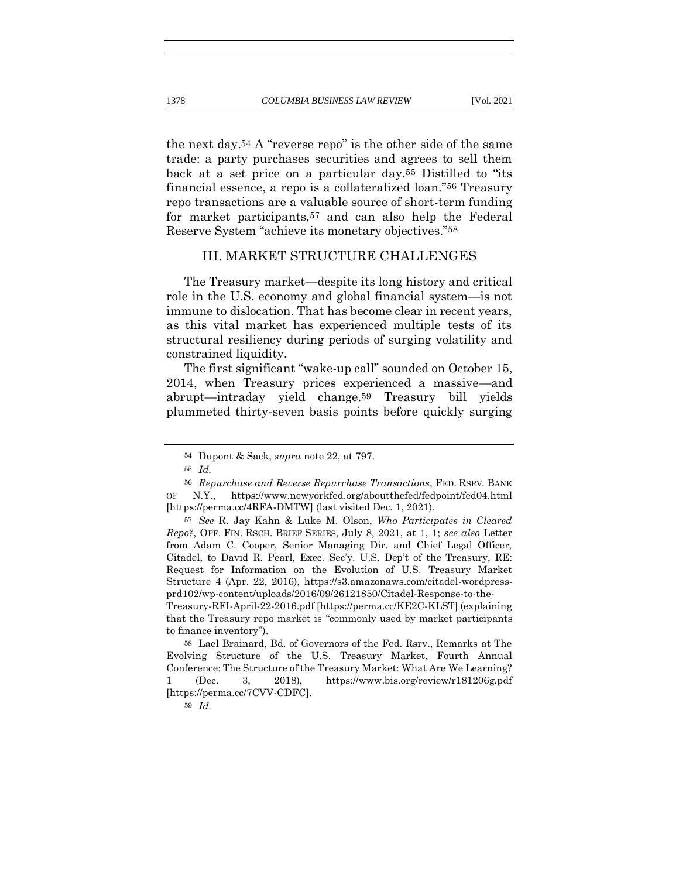the next day.54 A "reverse repo" is the other side of the same trade: a party purchases securities and agrees to sell them back at a set price on a particular day.55 Distilled to "its financial essence, a repo is a collateralized loan."56 Treasury repo transactions are a valuable source of short-term funding for market participants,57 and can also help the Federal Reserve System "achieve its monetary objectives."58

## III. MARKET STRUCTURE CHALLENGES

The Treasury market—despite its long history and critical role in the U.S. economy and global financial system—is not immune to dislocation. That has become clear in recent years, as this vital market has experienced multiple tests of its structural resiliency during periods of surging volatility and constrained liquidity.

The first significant "wake-up call" sounded on October 15, 2014, when Treasury prices experienced a massive—and abrupt—intraday yield change.59 Treasury bill yields plummeted thirty-seven basis points before quickly surging

<sup>54</sup> Dupont & Sack, *supra* note 22, at 797.

<sup>55</sup> *Id.*

<sup>56</sup> *Repurchase and Reverse Repurchase Transactions*, FED. RSRV. BANK OF N.Y., https://www.newyorkfed.org/aboutthefed/fedpoint/fed04.html [https://perma.cc/4RFA-DMTW] (last visited Dec. 1, 2021).

<sup>57</sup> *See* R. Jay Kahn & Luke M. Olson, *Who Participates in Cleared Repo?*, OFF. FIN. RSCH. BRIEF SERIES, July 8, 2021, at 1, 1; *see also* Letter from Adam C. Cooper, Senior Managing Dir. and Chief Legal Officer, Citadel, to David R. Pearl, Exec. Sec'y. U.S. Dep't of the Treasury, RE: Request for Information on the Evolution of U.S. Treasury Market Structure 4 (Apr. 22, 2016), https://s3.amazonaws.com/citadel-wordpressprd102/wp-content/uploads/2016/09/26121850/Citadel-Response-to-the-Treasury-RFI-April-22-2016.pdf [https://perma.cc/KE2C-KLST] (explaining

that the Treasury repo market is "commonly used by market participants to finance inventory").

<sup>58</sup> Lael Brainard, Bd. of Governors of the Fed. Rsrv., Remarks at The Evolving Structure of the U.S. Treasury Market, Fourth Annual Conference: The Structure of the Treasury Market: What Are We Learning? 1 (Dec. 3, 2018), https://www.bis.org/review/r181206g.pdf [https://perma.cc/7CVV-CDFC].

<sup>59</sup> *Id.*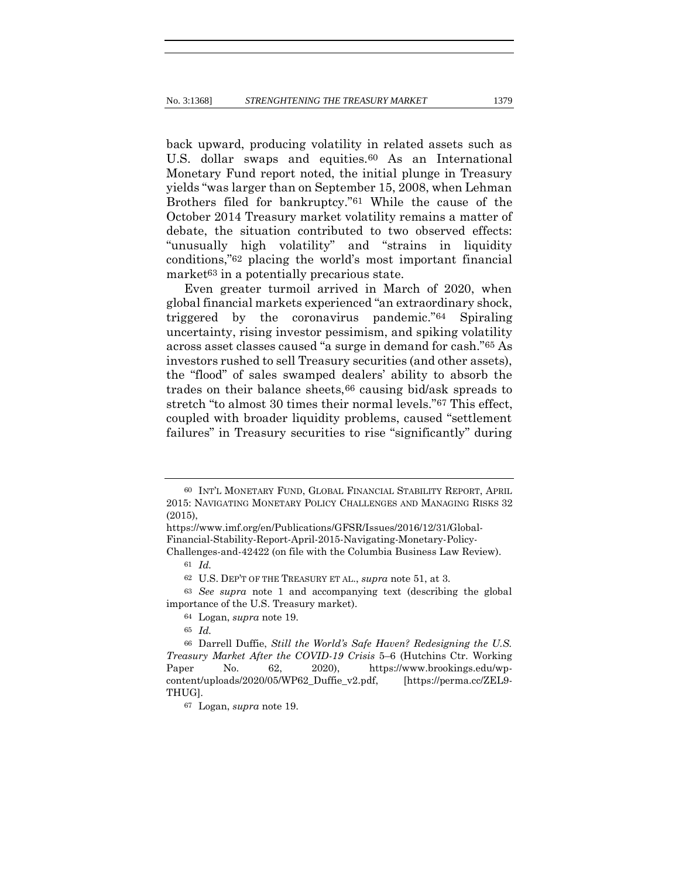back upward, producing volatility in related assets such as U.S. dollar swaps and equities.60 As an International Monetary Fund report noted, the initial plunge in Treasury yields "was larger than on September 15, 2008, when Lehman Brothers filed for bankruptcy."61 While the cause of the October 2014 Treasury market volatility remains a matter of debate, the situation contributed to two observed effects: "unusually high volatility" and "strains in liquidity conditions,"62 placing the world's most important financial market<sup>63</sup> in a potentially precarious state.

Even greater turmoil arrived in March of 2020, when global financial markets experienced "an extraordinary shock, triggered by the coronavirus pandemic."64 Spiraling uncertainty, rising investor pessimism, and spiking volatility across asset classes caused "a surge in demand for cash."65 As investors rushed to sell Treasury securities (and other assets), the "flood" of sales swamped dealers' ability to absorb the trades on their balance sheets,66 causing bid/ask spreads to stretch "to almost 30 times their normal levels."67 This effect, coupled with broader liquidity problems, caused "settlement failures" in Treasury securities to rise "significantly" during

<sup>60</sup> INT'L MONETARY FUND, GLOBAL FINANCIAL STABILITY REPORT, APRIL 2015: NAVIGATING MONETARY POLICY CHALLENGES AND MANAGING RISKS 32 (2015),

https://www.imf.org/en/Publications/GFSR/Issues/2016/12/31/Global-Financial-Stability-Report-April-2015-Navigating-Monetary-Policy-Challenges-and-42422 (on file with the Columbia Business Law Review).

<sup>61</sup> *Id.*

<sup>62</sup> U.S. DEP'T OF THE TREASURY ET AL., *supra* note 51, at 3.

<sup>63</sup> *See supra* note 1 and accompanying text (describing the global importance of the U.S. Treasury market).

<sup>64</sup> Logan, *supra* note 19.

<sup>65</sup> *Id.*

<sup>66</sup> Darrell Duffie, *Still the World's Safe Haven? Redesigning the U.S. Treasury Market After the COVID-19 Crisis* 5–6 (Hutchins Ctr. Working Paper No. 62, 2020), https://www.brookings.edu/wpcontent/uploads/2020/05/WP62\_Duffie\_v2.pdf, [https://perma.cc/ZEL9- THUG].

<sup>67</sup> Logan, *supra* note 19.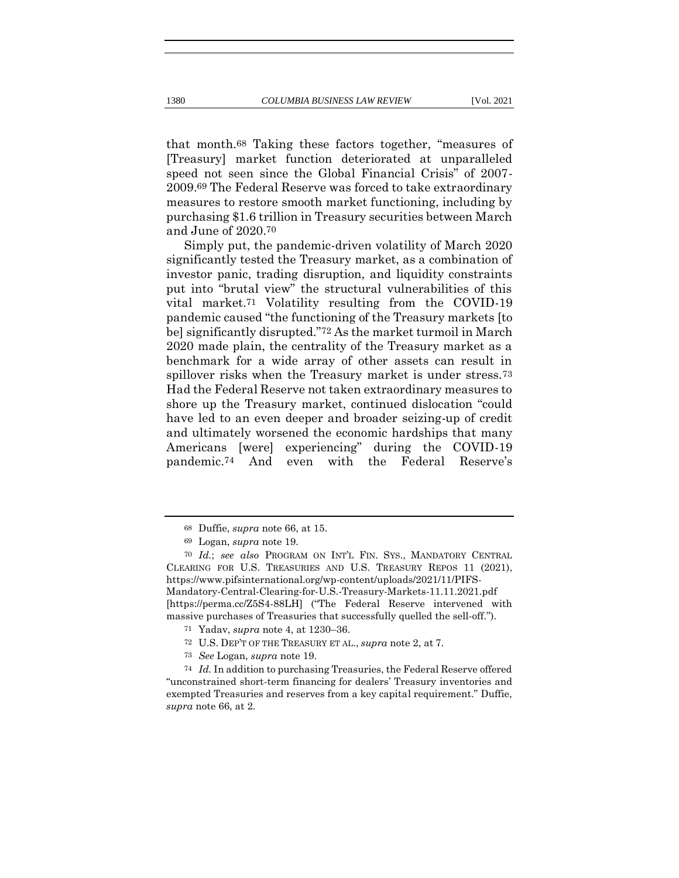that month.68 Taking these factors together, "measures of [Treasury] market function deteriorated at unparalleled speed not seen since the Global Financial Crisis" of 2007- 2009.69 The Federal Reserve was forced to take extraordinary measures to restore smooth market functioning, including by purchasing \$1.6 trillion in Treasury securities between March and June of 2020.70

Simply put, the pandemic-driven volatility of March 2020 significantly tested the Treasury market, as a combination of investor panic, trading disruption, and liquidity constraints put into "brutal view" the structural vulnerabilities of this vital market.71 Volatility resulting from the COVID-19 pandemic caused "the functioning of the Treasury markets [to be] significantly disrupted."72 As the market turmoil in March 2020 made plain, the centrality of the Treasury market as a benchmark for a wide array of other assets can result in spillover risks when the Treasury market is under stress.73 Had the Federal Reserve not taken extraordinary measures to shore up the Treasury market, continued dislocation "could have led to an even deeper and broader seizing-up of credit and ultimately worsened the economic hardships that many Americans [were] experiencing" during the COVID-19 pandemic.74 And even with the Federal Reserve's

<sup>68</sup> Duffie, *supra* note 66, at 15.

<sup>69</sup> Logan, *supra* note 19.

<sup>70</sup> *Id.*; *see also* PROGRAM ON INT'L FIN. SYS., MANDATORY CENTRAL CLEARING FOR U.S. TREASURIES AND U.S. TREASURY REPOS 11 (2021), https://www.pifsinternational.org/wp-content/uploads/2021/11/PIFS-Mandatory-Central-Clearing-for-U.S.-Treasury-Markets-11.11.2021.pdf [https://perma.cc/Z5S4-88LH] ("The Federal Reserve intervened with massive purchases of Treasuries that successfully quelled the sell-off.").

<sup>71</sup> Yadav, *supra* note 4, at 1230–36.

<sup>72</sup> U.S. DEP'T OF THE TREASURY ET AL., *supra* note 2, at 7.

<sup>73</sup> *See* Logan, *supra* note 19.

<sup>74</sup> *Id.* In addition to purchasing Treasuries, the Federal Reserve offered "unconstrained short-term financing for dealers' Treasury inventories and exempted Treasuries and reserves from a key capital requirement." Duffie, *supra* note 66, at 2.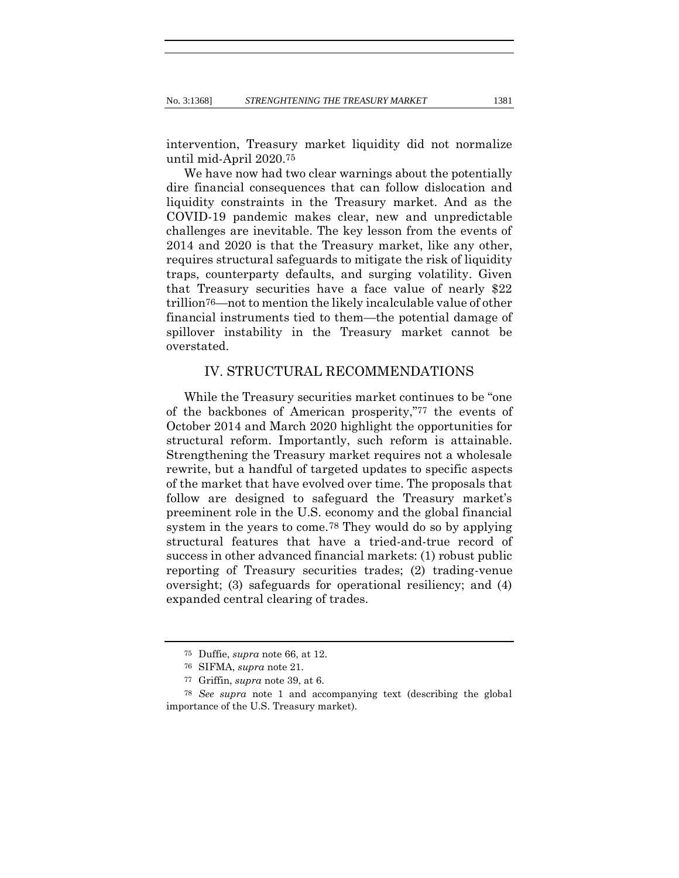intervention, Treasury market liquidity did not normalize until mid-April 2020.75

We have now had two clear warnings about the potentially dire financial consequences that can follow dislocation and liquidity constraints in the Treasury market. And as the COVID-19 pandemic makes clear, new and unpredictable challenges are inevitable. The key lesson from the events of 2014 and 2020 is that the Treasury market, like any other, requires structural safeguards to mitigate the risk of liquidity traps, counterparty defaults, and surging volatility. Given that Treasury securities have a face value of nearly \$22 trillion76—not to mention the likely incalculable value of other financial instruments tied to them—the potential damage of spillover instability in the Treasury market cannot be overstated.

## IV. STRUCTURAL RECOMMENDATIONS

While the Treasury securities market continues to be "one of the backbones of American prosperity,"77 the events of October 2014 and March 2020 highlight the opportunities for structural reform. Importantly, such reform is attainable. Strengthening the Treasury market requires not a wholesale rewrite, but a handful of targeted updates to specific aspects of the market that have evolved over time. The proposals that follow are designed to safeguard the Treasury market's preeminent role in the U.S. economy and the global financial system in the years to come.78 They would do so by applying structural features that have a tried-and-true record of success in other advanced financial markets: (1) robust public reporting of Treasury securities trades; (2) trading-venue oversight; (3) safeguards for operational resiliency; and (4) expanded central clearing of trades.

<sup>75</sup> Duffie, *supra* note 66, at 12.

<sup>76</sup> SIFMA, *supra* note 21.

<sup>77</sup> Griffin, *supra* note 39, at 6.

<sup>78</sup> *See supra* note 1 and accompanying text (describing the global importance of the U.S. Treasury market).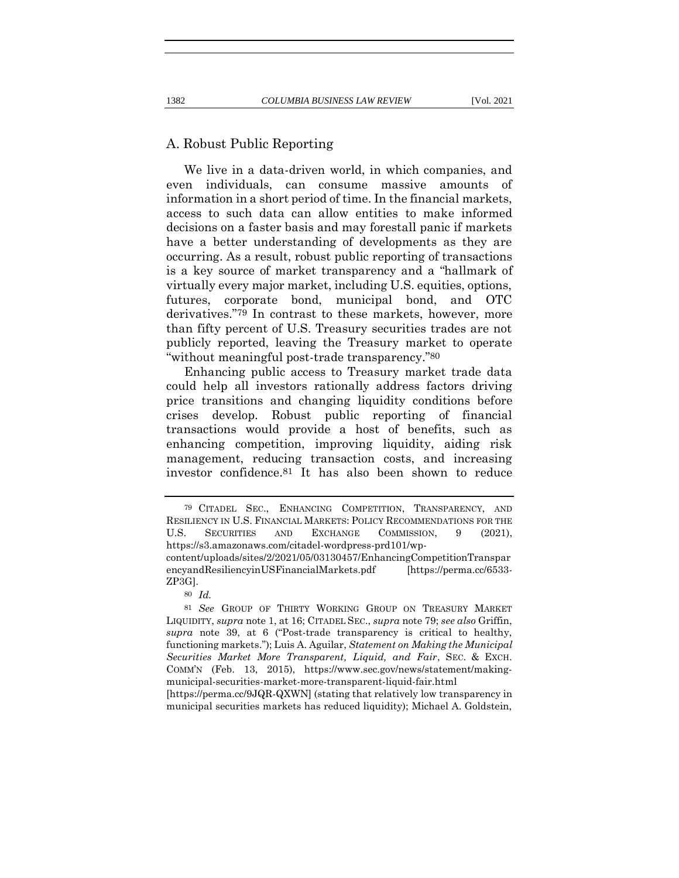#### A. Robust Public Reporting

We live in a data-driven world, in which companies, and even individuals, can consume massive amounts of information in a short period of time. In the financial markets, access to such data can allow entities to make informed decisions on a faster basis and may forestall panic if markets have a better understanding of developments as they are occurring. As a result, robust public reporting of transactions is a key source of market transparency and a "hallmark of virtually every major market, including U.S. equities, options, futures, corporate bond, municipal bond, and OTC derivatives."79 In contrast to these markets, however, more than fifty percent of U.S. Treasury securities trades are not publicly reported, leaving the Treasury market to operate "without meaningful post-trade transparency."80

Enhancing public access to Treasury market trade data could help all investors rationally address factors driving price transitions and changing liquidity conditions before crises develop. Robust public reporting of financial transactions would provide a host of benefits, such as enhancing competition, improving liquidity, aiding risk management, reducing transaction costs, and increasing investor confidence.81 It has also been shown to reduce

municipal securities markets has reduced liquidity); Michael A. Goldstein,

<sup>79</sup> CITADEL SEC., ENHANCING COMPETITION, TRANSPARENCY, AND RESILIENCY IN U.S. FINANCIAL MARKETS: POLICY RECOMMENDATIONS FOR THE U.S. SECURITIES AND EXCHANGE COMMISSION, 9 (2021), https://s3.amazonaws.com/citadel-wordpress-prd101/wp-

content/uploads/sites/2/2021/05/03130457/EnhancingCompetitionTranspar encyandResiliencyinUSFinancialMarkets.pdf [https://perma.cc/6533- ZP3G].

<sup>80</sup> *Id.*

<sup>81</sup> *See* GROUP OF THIRTY WORKING GROUP ON TREASURY MARKET LIQUIDITY, *supra* note 1, at 16; CITADEL SEC., *supra* note 79; *see also* Griffin, *supra* note 39, at 6 ("Post-trade transparency is critical to healthy, functioning markets."); Luis A. Aguilar, *Statement on Making the Municipal Securities Market More Transparent, Liquid, and Fair*, SEC. & EXCH. COMM'N (Feb. 13, 2015), https://www.sec.gov/news/statement/makingmunicipal-securities-market-more-transparent-liquid-fair.html [https://perma.cc/9JQR-QXWN] (stating that relatively low transparency in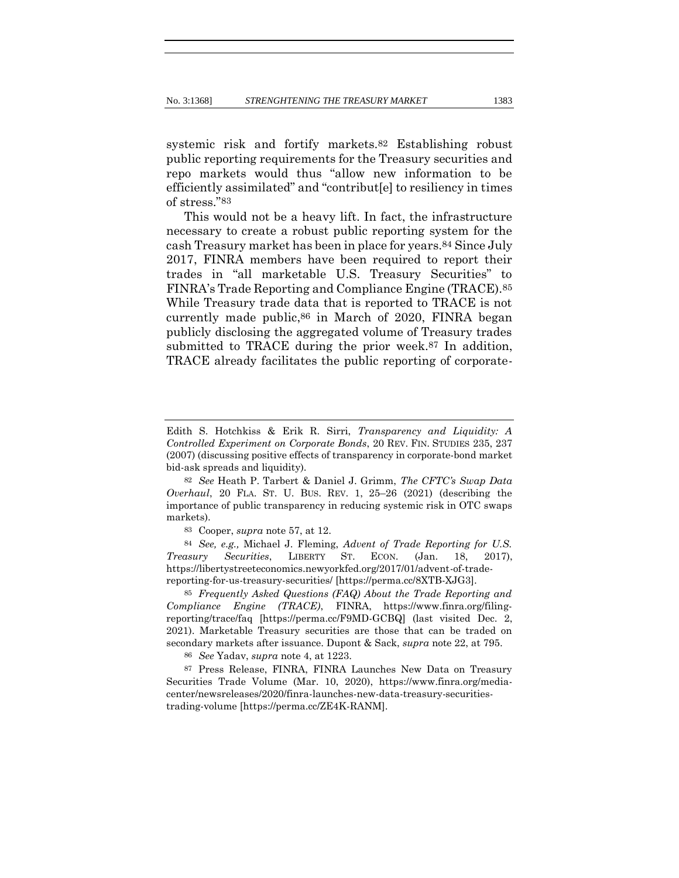systemic risk and fortify markets.82 Establishing robust public reporting requirements for the Treasury securities and repo markets would thus "allow new information to be efficiently assimilated" and "contribut[e] to resiliency in times of stress."83

This would not be a heavy lift. In fact, the infrastructure necessary to create a robust public reporting system for the cash Treasury market has been in place for years.84 Since July 2017, FINRA members have been required to report their trades in "all marketable U.S. Treasury Securities" to FINRA's Trade Reporting and Compliance Engine (TRACE).85 While Treasury trade data that is reported to TRACE is not currently made public,86 in March of 2020, FINRA began publicly disclosing the aggregated volume of Treasury trades submitted to TRACE during the prior week.87 In addition, TRACE already facilitates the public reporting of corporate-

83 Cooper, *supra* note 57, at 12.

84 *See, e.g.,* Michael J. Fleming, *Advent of Trade Reporting for U.S. Treasury Securities*, LIBERTY ST. ECON. (Jan. 18, 2017), https://libertystreeteconomics.newyorkfed.org/2017/01/advent-of-tradereporting-for-us-treasury-securities/ [https://perma.cc/8XTB-XJG3].

85 *Frequently Asked Questions (FAQ) About the Trade Reporting and Compliance Engine (TRACE)*, FINRA, https://www.finra.org/filingreporting/trace/faq [https://perma.cc/F9MD-GCBQ] (last visited Dec. 2, 2021). Marketable Treasury securities are those that can be traded on secondary markets after issuance. Dupont & Sack, *supra* note 22, at 795.

86 *See* Yadav, *supra* note 4, at 1223.

87 Press Release, FINRA, FINRA Launches New Data on Treasury Securities Trade Volume (Mar. 10, 2020), https://www.finra.org/mediacenter/newsreleases/2020/finra-launches-new-data-treasury-securitiestrading-volume [https://perma.cc/ZE4K-RANM].

Edith S. Hotchkiss & Erik R. Sirri, *Transparency and Liquidity: A Controlled Experiment on Corporate Bonds*, 20 REV. FIN. STUDIES 235, 237 (2007) (discussing positive effects of transparency in corporate-bond market bid-ask spreads and liquidity).

<sup>82</sup> *See* Heath P. Tarbert & Daniel J. Grimm, *The CFTC's Swap Data Overhaul*, 20 FLA. ST. U. BUS. REV. 1, 25–26 (2021) (describing the importance of public transparency in reducing systemic risk in OTC swaps markets).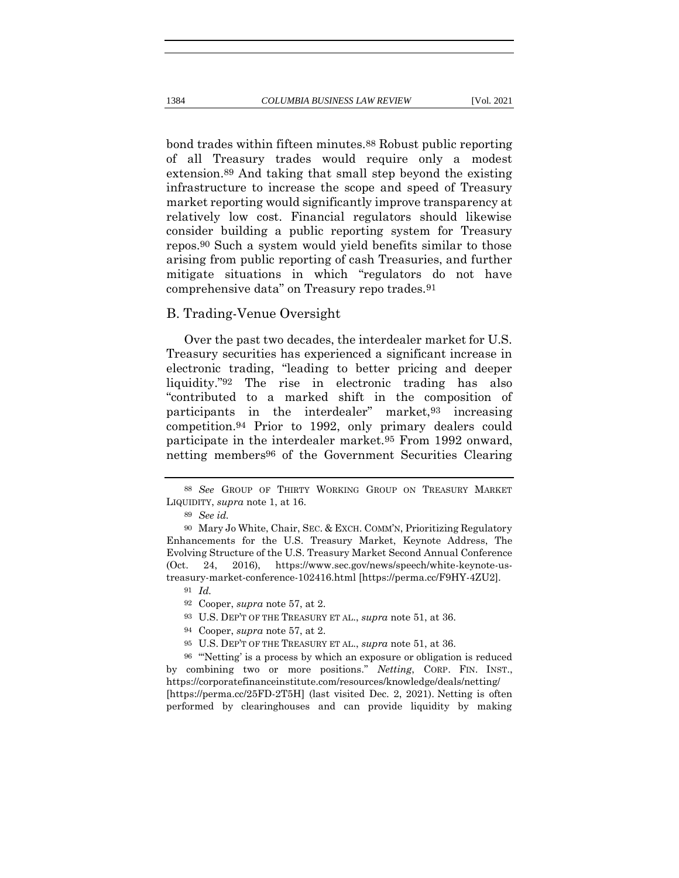bond trades within fifteen minutes.88 Robust public reporting of all Treasury trades would require only a modest extension.89 And taking that small step beyond the existing infrastructure to increase the scope and speed of Treasury market reporting would significantly improve transparency at relatively low cost. Financial regulators should likewise consider building a public reporting system for Treasury repos.90 Such a system would yield benefits similar to those arising from public reporting of cash Treasuries, and further mitigate situations in which "regulators do not have comprehensive data" on Treasury repo trades.91

#### B. Trading-Venue Oversight

Over the past two decades, the interdealer market for U.S. Treasury securities has experienced a significant increase in electronic trading, "leading to better pricing and deeper liquidity."92 The rise in electronic trading has also "contributed to a marked shift in the composition of participants in the interdealer" market,93 increasing competition.94 Prior to 1992, only primary dealers could participate in the interdealer market.95 From 1992 onward, netting members96 of the Government Securities Clearing

<sup>88</sup> *See* GROUP OF THIRTY WORKING GROUP ON TREASURY MARKET LIQUIDITY, *supra* note 1, at 16.

<sup>89</sup> *See id.*

<sup>90</sup> Mary Jo White, Chair, SEC. & EXCH. COMM'N, Prioritizing Regulatory Enhancements for the U.S. Treasury Market, Keynote Address, The Evolving Structure of the U.S. Treasury Market Second Annual Conference (Oct. 24, 2016), https://www.sec.gov/news/speech/white-keynote-ustreasury-market-conference-102416.html [https://perma.cc/F9HY-4ZU2].

<sup>91</sup> *Id.*

<sup>92</sup> Cooper, *supra* note 57, at 2.

<sup>93</sup> U.S. DEP'T OF THE TREASURY ET AL., *supra* note 51, at 36.

<sup>94</sup> Cooper, *supra* note 57, at 2.

<sup>95</sup> U.S. DEP'T OF THE TREASURY ET AL., *supra* note 51, at 36.

<sup>96</sup> "'Netting' is a process by which an exposure or obligation is reduced by combining two or more positions." *Netting*, CORP. FIN. INST., https://corporatefinanceinstitute.com/resources/knowledge/deals/netting/ [https://perma.cc/25FD-2T5H] (last visited Dec. 2, 2021). Netting is often performed by clearinghouses and can provide liquidity by making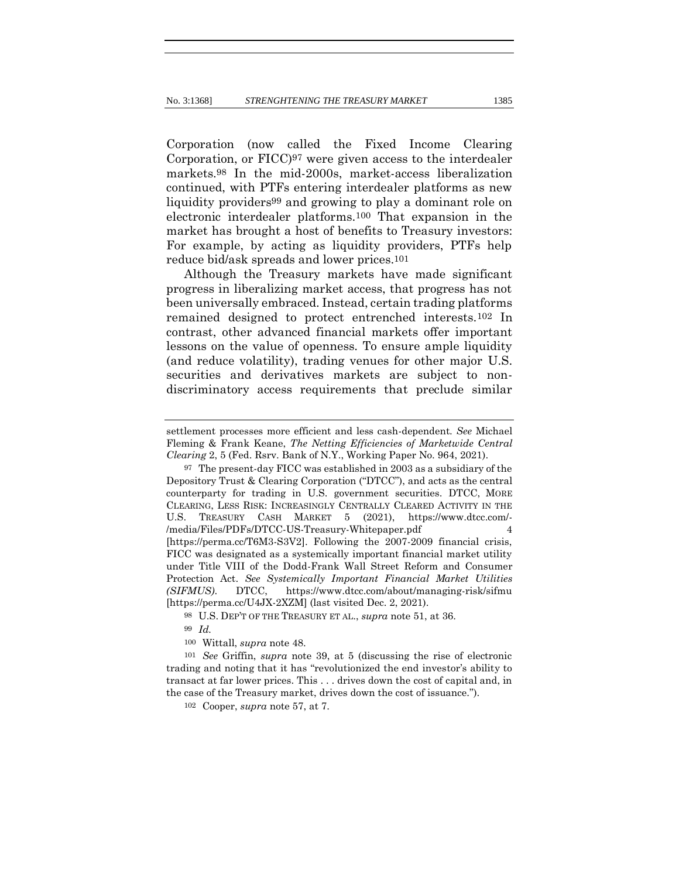Corporation (now called the Fixed Income Clearing Corporation, or FICC)97 were given access to the interdealer markets.98 In the mid-2000s, market-access liberalization continued, with PTFs entering interdealer platforms as new liquidity providers99 and growing to play a dominant role on electronic interdealer platforms.100 That expansion in the market has brought a host of benefits to Treasury investors: For example, by acting as liquidity providers, PTFs help reduce bid/ask spreads and lower prices.101

Although the Treasury markets have made significant progress in liberalizing market access, that progress has not been universally embraced. Instead, certain trading platforms remained designed to protect entrenched interests.102 In contrast, other advanced financial markets offer important lessons on the value of openness. To ensure ample liquidity (and reduce volatility), trading venues for other major U.S. securities and derivatives markets are subject to nondiscriminatory access requirements that preclude similar

98 U.S. DEP'T OF THE TREASURY ET AL., *supra* note 51, at 36.

100 Wittall, *supra* note 48.

101 *See* Griffin, *supra* note 39, at 5 (discussing the rise of electronic trading and noting that it has "revolutionized the end investor's ability to transact at far lower prices. This . . . drives down the cost of capital and, in the case of the Treasury market, drives down the cost of issuance.").

102 Cooper, *supra* note 57, at 7.

settlement processes more efficient and less cash-dependent. *See* Michael Fleming & Frank Keane, *The Netting Efficiencies of Marketwide Central Clearing* 2, 5 (Fed. Rsrv. Bank of N.Y., Working Paper No. 964, 2021).

<sup>97</sup> The present-day FICC was established in 2003 as a subsidiary of the Depository Trust & Clearing Corporation ("DTCC"), and acts as the central counterparty for trading in U.S. government securities. DTCC, MORE CLEARING, LESS RISK: INCREASINGLY CENTRALLY CLEARED ACTIVITY IN THE U.S. TREASURY CASH MARKET 5 (2021), https://www.dtcc.com/- /media/Files/PDFs/DTCC-US-Treasury-Whitepaper.pdf 4 [https://perma.cc/T6M3-S3V2]. Following the 2007-2009 financial crisis, FICC was designated as a systemically important financial market utility under Title VIII of the Dodd-Frank Wall Street Reform and Consumer Protection Act. *See Systemically Important Financial Market Utilities (SIFMUS)*. DTCC, https://www.dtcc.com/about/managing-risk/sifmu [https://perma.cc/U4JX-2XZM] (last visited Dec. 2, 2021).

<sup>99</sup> *Id.*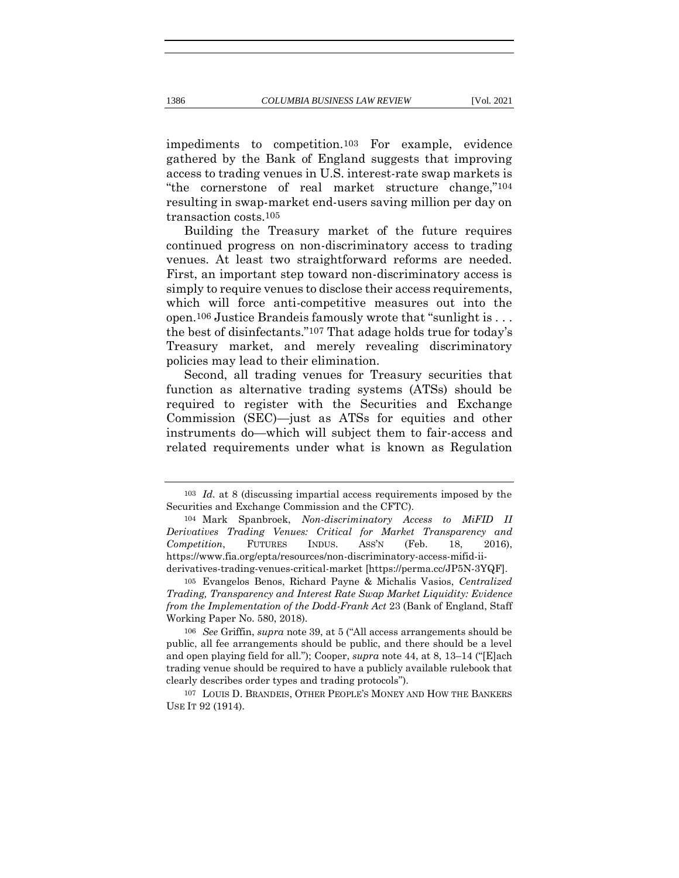impediments to competition.103 For example, evidence gathered by the Bank of England suggests that improving access to trading venues in U.S. interest-rate swap markets is "the cornerstone of real market structure change,"104 resulting in swap-market end-users saving million per day on transaction costs.105

Building the Treasury market of the future requires continued progress on non-discriminatory access to trading venues. At least two straightforward reforms are needed. First, an important step toward non-discriminatory access is simply to require venues to disclose their access requirements, which will force anti-competitive measures out into the open.106 Justice Brandeis famously wrote that "sunlight is . . . the best of disinfectants."107 That adage holds true for today's Treasury market, and merely revealing discriminatory policies may lead to their elimination.

Second, all trading venues for Treasury securities that function as alternative trading systems (ATSs) should be required to register with the Securities and Exchange Commission (SEC)—just as ATSs for equities and other instruments do—which will subject them to fair-access and related requirements under what is known as Regulation

<sup>103</sup> *Id.* at 8 (discussing impartial access requirements imposed by the Securities and Exchange Commission and the CFTC).

<sup>104</sup> Mark Spanbroek, *Non-discriminatory Access to MiFID II Derivatives Trading Venues: Critical for Market Transparency and Competition*, FUTURES INDUS. ASS'N (Feb. 18, 2016), https://www.fia.org/epta/resources/non-discriminatory-access-mifid-iiderivatives-trading-venues-critical-market [https://perma.cc/JP5N-3YQF].

<sup>105</sup> Evangelos Benos, Richard Payne & Michalis Vasios, *Centralized Trading, Transparency and Interest Rate Swap Market Liquidity: Evidence from the Implementation of the Dodd-Frank Act* 23 (Bank of England, Staff Working Paper No. 580, 2018).

<sup>106</sup> *See* Griffin, *supra* note 39, at 5 ("All access arrangements should be public, all fee arrangements should be public, and there should be a level and open playing field for all."); Cooper, *supra* note 44, at 8, 13–14 ("[E]ach trading venue should be required to have a publicly available rulebook that clearly describes order types and trading protocols").

<sup>107</sup> LOUIS D. BRANDEIS, OTHER PEOPLE'S MONEY AND HOW THE BANKERS USE IT 92 (1914).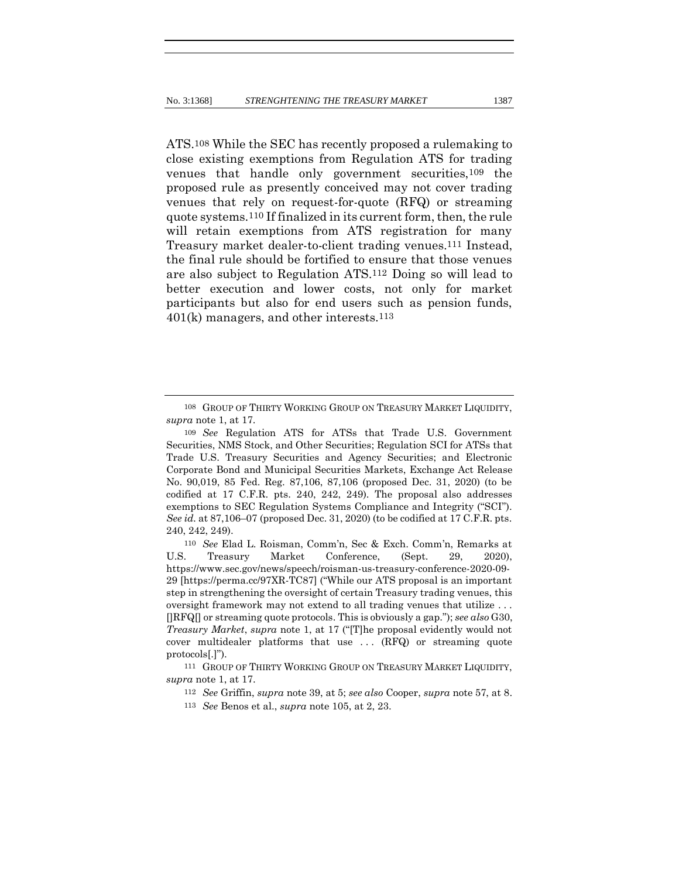ATS.108 While the SEC has recently proposed a rulemaking to close existing exemptions from Regulation ATS for trading venues that handle only government securities,109 the proposed rule as presently conceived may not cover trading venues that rely on request-for-quote (RFQ) or streaming quote systems.110 If finalized in its current form, then, the rule will retain exemptions from ATS registration for many Treasury market dealer-to-client trading venues.111 Instead, the final rule should be fortified to ensure that those venues are also subject to Regulation ATS.112 Doing so will lead to better execution and lower costs, not only for market participants but also for end users such as pension funds,  $401(k)$  managers, and other interests.<sup>113</sup>

<sup>108</sup> GROUP OF THIRTY WORKING GROUP ON TREASURY MARKET LIQUIDITY, *supra* note 1, at 17.

<sup>109</sup> *See* Regulation ATS for ATSs that Trade U.S. Government Securities, NMS Stock, and Other Securities; Regulation SCI for ATSs that Trade U.S. Treasury Securities and Agency Securities; and Electronic Corporate Bond and Municipal Securities Markets, Exchange Act Release No. 90,019, 85 Fed. Reg. 87,106, 87,106 (proposed Dec. 31, 2020) (to be codified at 17 C.F.R. pts. 240, 242, 249). The proposal also addresses exemptions to SEC Regulation Systems Compliance and Integrity ("SCI"). *See id.* at 87,106–07 (proposed Dec. 31, 2020) (to be codified at 17 C.F.R. pts. 240, 242, 249).

<sup>110</sup> *See* Elad L. Roisman, Comm'n, Sec & Exch. Comm'n, Remarks at U.S. Treasury Market Conference, (Sept. 29, 2020), https://www.sec.gov/news/speech/roisman-us-treasury-conference-2020-09- 29 [https://perma.cc/97XR-TC87] ("While our ATS proposal is an important step in strengthening the oversight of certain Treasury trading venues, this oversight framework may not extend to all trading venues that utilize . . . []RFQ[] or streaming quote protocols. This is obviously a gap."); *see also* G30, *Treasury Market*, *supra* note 1, at 17 ("[T]he proposal evidently would not cover multidealer platforms that use ... (RFQ) or streaming quote protocols[.]").

<sup>111</sup> GROUP OF THIRTY WORKING GROUP ON TREASURY MARKET LIQUIDITY, *supra* note 1, at 17.

<sup>112</sup> *See* Griffin, *supra* note 39, at 5; *see also* Cooper, *supra* note 57, at 8.

<sup>113</sup> *See* Benos et al., *supra* note 105, at 2, 23.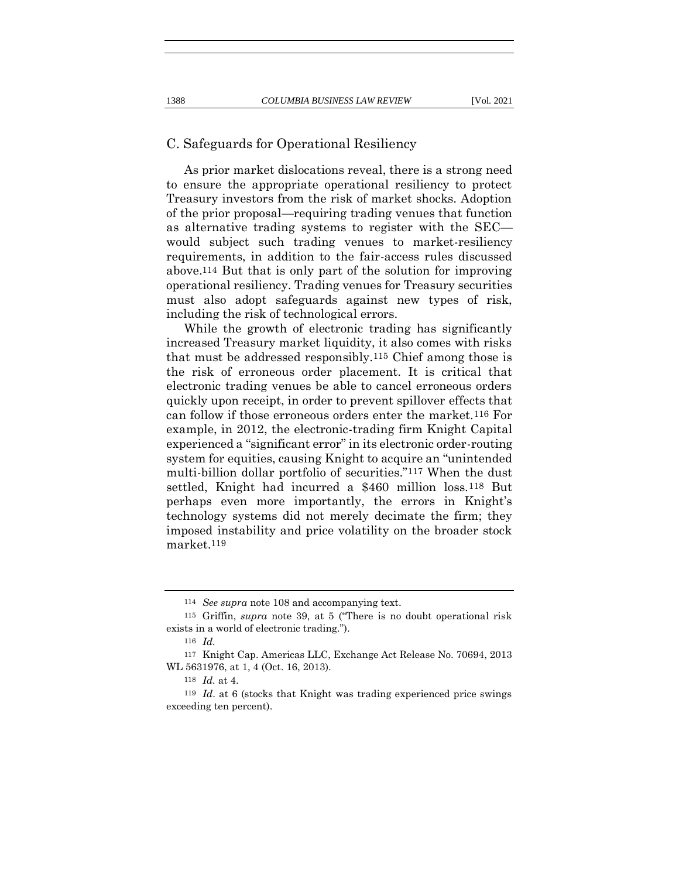#### C. Safeguards for Operational Resiliency

As prior market dislocations reveal, there is a strong need to ensure the appropriate operational resiliency to protect Treasury investors from the risk of market shocks. Adoption of the prior proposal—requiring trading venues that function as alternative trading systems to register with the SEC would subject such trading venues to market-resiliency requirements, in addition to the fair-access rules discussed above.114 But that is only part of the solution for improving operational resiliency. Trading venues for Treasury securities must also adopt safeguards against new types of risk, including the risk of technological errors.

While the growth of electronic trading has significantly increased Treasury market liquidity, it also comes with risks that must be addressed responsibly.115 Chief among those is the risk of erroneous order placement. It is critical that electronic trading venues be able to cancel erroneous orders quickly upon receipt, in order to prevent spillover effects that can follow if those erroneous orders enter the market.116 For example, in 2012, the electronic-trading firm Knight Capital experienced a "significant error" in its electronic order-routing system for equities, causing Knight to acquire an "unintended multi-billion dollar portfolio of securities."117 When the dust settled, Knight had incurred a \$460 million loss.118 But perhaps even more importantly, the errors in Knight's technology systems did not merely decimate the firm; they imposed instability and price volatility on the broader stock market.119

<sup>114</sup> *See supra* note 108 and accompanying text.

<sup>115</sup> Griffin, *supra* note 39, at 5 ("There is no doubt operational risk exists in a world of electronic trading.").

<sup>116</sup> *Id.*

<sup>117</sup> Knight Cap. Americas LLC, Exchange Act Release No. 70694, 2013 WL 5631976, at 1, 4 (Oct. 16, 2013).

<sup>118</sup> *Id.* at 4.

<sup>119</sup> *Id*. at 6 (stocks that Knight was trading experienced price swings exceeding ten percent).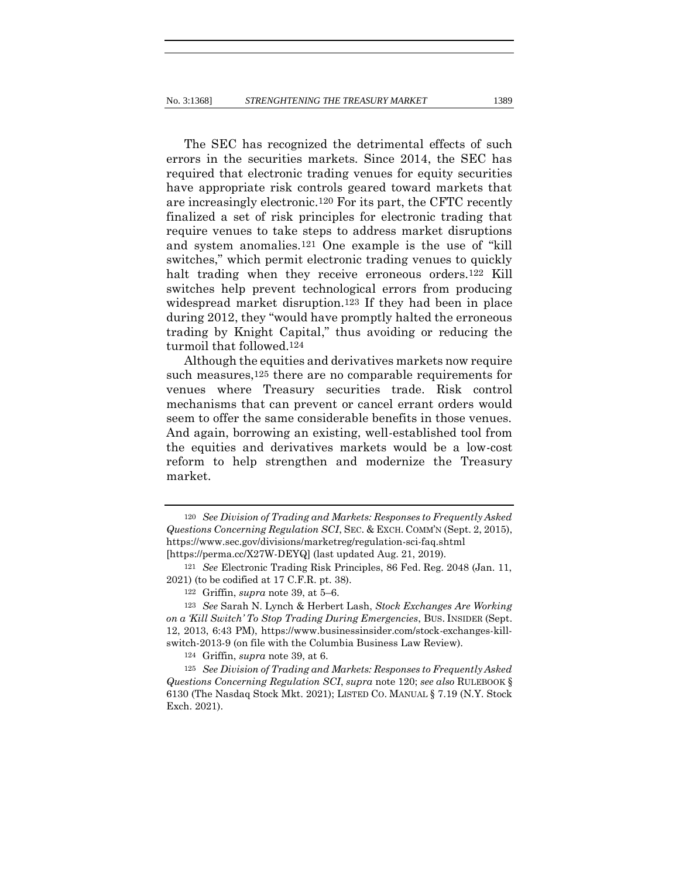The SEC has recognized the detrimental effects of such errors in the securities markets. Since 2014, the SEC has required that electronic trading venues for equity securities have appropriate risk controls geared toward markets that are increasingly electronic.120 For its part, the CFTC recently finalized a set of risk principles for electronic trading that require venues to take steps to address market disruptions and system anomalies.121 One example is the use of "kill switches," which permit electronic trading venues to quickly halt trading when they receive erroneous orders.<sup>122</sup> Kill switches help prevent technological errors from producing widespread market disruption.123 If they had been in place during 2012, they "would have promptly halted the erroneous trading by Knight Capital," thus avoiding or reducing the turmoil that followed.124

Although the equities and derivatives markets now require such measures,<sup>125</sup> there are no comparable requirements for venues where Treasury securities trade. Risk control mechanisms that can prevent or cancel errant orders would seem to offer the same considerable benefits in those venues. And again, borrowing an existing, well-established tool from the equities and derivatives markets would be a low-cost reform to help strengthen and modernize the Treasury market.

123 *See* Sarah N. Lynch & Herbert Lash, *Stock Exchanges Are Working on a 'Kill Switch' To Stop Trading During Emergencies*, BUS. INSIDER (Sept. 12, 2013, 6:43 PM), https://www.businessinsider.com/stock-exchanges-killswitch-2013-9 (on file with the Columbia Business Law Review).

124 Griffin, *supra* note 39, at 6.

125 *See Division of Trading and Markets: Responses to Frequently Asked Questions Concerning Regulation SCI*, *supra* note 120; *see also* RULEBOOK § 6130 (The Nasdaq Stock Mkt. 2021); LISTED CO. MANUAL § 7.19 (N.Y. Stock Exch. 2021).

<sup>120</sup> *See Division of Trading and Markets: Responses to Frequently Asked Questions Concerning Regulation SCI*, SEC. & EXCH. COMM'N (Sept. 2, 2015), https://www.sec.gov/divisions/marketreg/regulation-sci-faq.shtml [https://perma.cc/X27W-DEYQ] (last updated Aug. 21, 2019).

<sup>121</sup> *See* Electronic Trading Risk Principles, 86 Fed. Reg. 2048 (Jan. 11, 2021) (to be codified at 17 C.F.R. pt. 38).

<sup>122</sup> Griffin, *supra* note 39, at 5–6.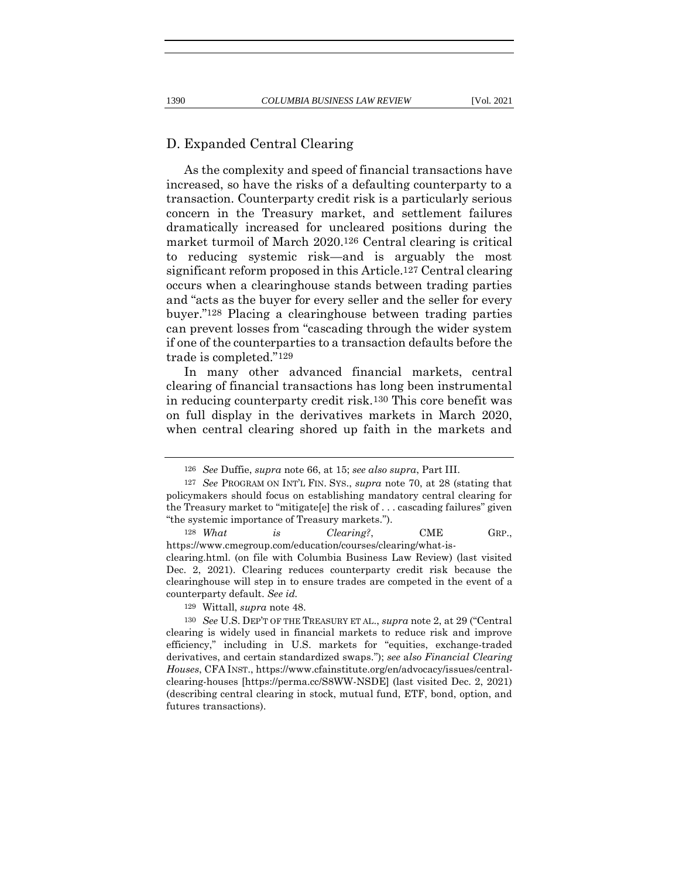#### D. Expanded Central Clearing

As the complexity and speed of financial transactions have increased, so have the risks of a defaulting counterparty to a transaction. Counterparty credit risk is a particularly serious concern in the Treasury market, and settlement failures dramatically increased for uncleared positions during the market turmoil of March 2020.126 Central clearing is critical to reducing systemic risk—and is arguably the most significant reform proposed in this Article.127 Central clearing occurs when a clearinghouse stands between trading parties and "acts as the buyer for every seller and the seller for every buyer."128 Placing a clearinghouse between trading parties can prevent losses from "cascading through the wider system if one of the counterparties to a transaction defaults before the trade is completed."129

In many other advanced financial markets, central clearing of financial transactions has long been instrumental in reducing counterparty credit risk.130 This core benefit was on full display in the derivatives markets in March 2020, when central clearing shored up faith in the markets and

128 *What is Clearing?*, CME GRP., https://www.cmegroup.com/education/courses/clearing/what-isclearing.html. (on file with Columbia Business Law Review) (last visited Dec. 2, 2021). Clearing reduces counterparty credit risk because the clearinghouse will step in to ensure trades are competed in the event of a

129 Wittall, *supra* note 48.

counterparty default. *See id.*

<sup>126</sup> *See* Duffie, *supra* note 66, at 15; *see also supra*, Part III.

<sup>127</sup> *See* PROGRAM ON INT'L FIN. SYS., *supra* note 70, at 28 (stating that policymakers should focus on establishing mandatory central clearing for the Treasury market to "mitigate[e] the risk of . . . cascading failures" given "the systemic importance of Treasury markets.").

<sup>130</sup> *See* U.S. DEP'T OF THE TREASURY ET AL., *supra* note 2, at 29 ("Central clearing is widely used in financial markets to reduce risk and improve efficiency," including in U.S. markets for "equities, exchange-traded derivatives, and certain standardized swaps."); *see* a*lso Financial Clearing Houses*, CFA INST., https://www.cfainstitute.org/en/advocacy/issues/centralclearing-houses [https://perma.cc/S8WW-NSDE] (last visited Dec. 2, 2021) (describing central clearing in stock, mutual fund, ETF, bond, option, and futures transactions).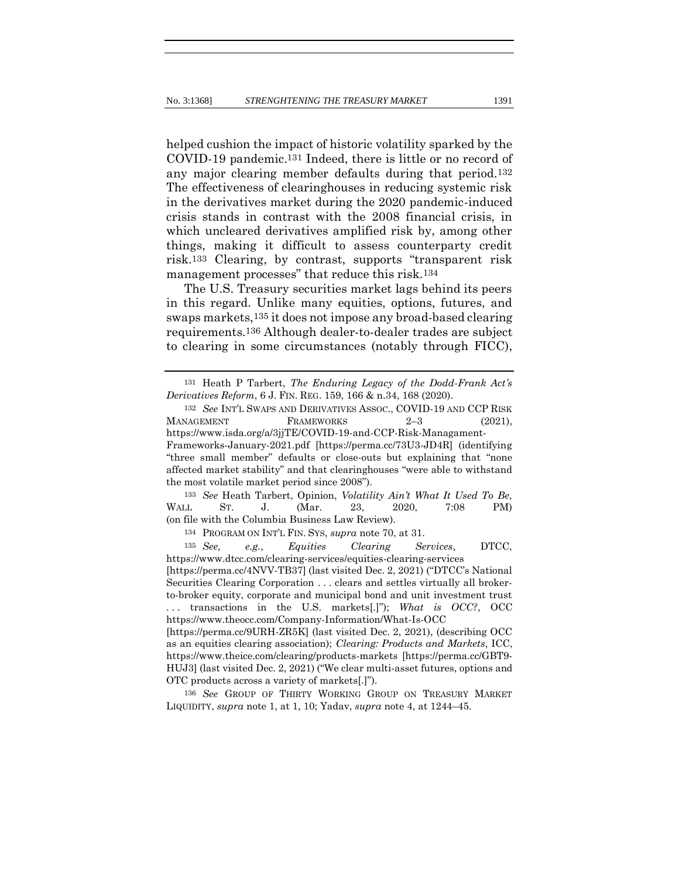helped cushion the impact of historic volatility sparked by the COVID-19 pandemic.131 Indeed, there is little or no record of any major clearing member defaults during that period.132 The effectiveness of clearinghouses in reducing systemic risk in the derivatives market during the 2020 pandemic-induced crisis stands in contrast with the 2008 financial crisis, in which uncleared derivatives amplified risk by, among other things, making it difficult to assess counterparty credit risk.133 Clearing, by contrast, supports "transparent risk management processes" that reduce this risk.134

The U.S. Treasury securities market lags behind its peers in this regard. Unlike many equities, options, futures, and swaps markets,135 it does not impose any broad-based clearing requirements.136 Although dealer-to-dealer trades are subject to clearing in some circumstances (notably through FICC),

133 *See* Heath Tarbert, Opinion, *Volatility Ain't What It Used To Be*, WALL ST. J. (Mar. 23, 2020, 7:08 PM) (on file with the Columbia Business Law Review).

134 PROGRAM ON INT'L FIN. SYS, *supra* note 70, at 31.

135 *See, e.g.*, *Equities Clearing Services*, DTCC, https://www.dtcc.com/clearing-services/equities-clearing-services [https://perma.cc/4NVV-TB37] (last visited Dec. 2, 2021) ("DTCC's National Securities Clearing Corporation . . . clears and settles virtually all brokerto-broker equity, corporate and municipal bond and unit investment trust . . . transactions in the U.S. markets[.]"); *What is OCC?*, OCC

136 *See* GROUP OF THIRTY WORKING GROUP ON TREASURY MARKET LIQUIDITY, *supra* note 1, at 1, 10; Yadav, *supra* note 4, at 1244–45.

<sup>131</sup> Heath P Tarbert, *The Enduring Legacy of the Dodd-Frank Act's Derivatives Reform*, 6 J. FIN. REG. 159, 166 & n.34, 168 (2020).

<sup>132</sup> *See* INT'L SWAPS AND DERIVATIVES ASSOC., COVID-19 AND CCP RISK MANAGEMENT FRAMEWORKS 2–3 (2021), https://www.isda.org/a/3jjTE/COVID-19-and-CCP-Risk-Managament-Frameworks-January-2021.pdf [https://perma.cc/73U3-JD4R] (identifying "three small member" defaults or close-outs but explaining that "none affected market stability" and that clearinghouses "were able to withstand the most volatile market period since 2008").

https://www.theocc.com/Company-Information/What-Is-OCC [https://perma.cc/9URH-ZR5K] (last visited Dec. 2, 2021), (describing OCC as an equities clearing association); *Clearing: Products and Markets*, ICC, https://www.theice.com/clearing/products-markets [https://perma.cc/GBT9- HUJ3] (last visited Dec. 2, 2021) ("We clear multi-asset futures, options and OTC products across a variety of markets[.]").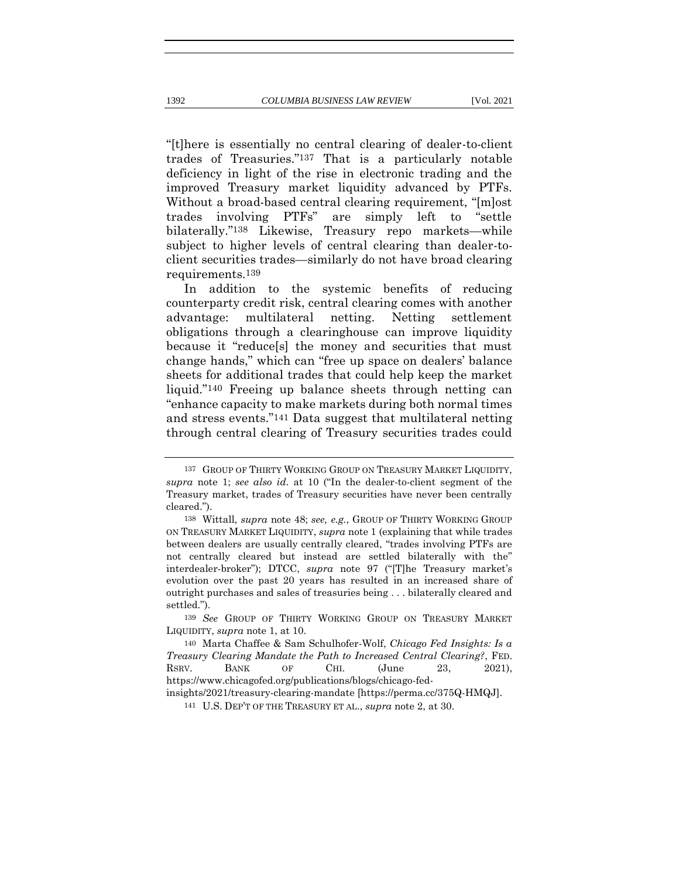"[t]here is essentially no central clearing of dealer-to-client trades of Treasuries."137 That is a particularly notable deficiency in light of the rise in electronic trading and the improved Treasury market liquidity advanced by PTFs. Without a broad-based central clearing requirement, "[m]ost trades involving PTFs" are simply left to "settle bilaterally."138 Likewise, Treasury repo markets—while subject to higher levels of central clearing than dealer-toclient securities trades—similarly do not have broad clearing requirements.139

In addition to the systemic benefits of reducing counterparty credit risk, central clearing comes with another advantage: multilateral netting. Netting settlement obligations through a clearinghouse can improve liquidity because it "reduce[s] the money and securities that must change hands," which can "free up space on dealers' balance sheets for additional trades that could help keep the market liquid."140 Freeing up balance sheets through netting can "enhance capacity to make markets during both normal times and stress events."141 Data suggest that multilateral netting through central clearing of Treasury securities trades could

<sup>137</sup> GROUP OF THIRTY WORKING GROUP ON TREASURY MARKET LIQUIDITY, *supra* note 1; *see also id.* at 10 ("In the dealer-to-client segment of the Treasury market, trades of Treasury securities have never been centrally cleared.").

<sup>138</sup> Wittall, *supra* note 48; *see, e.g.*, GROUP OF THIRTY WORKING GROUP ON TREASURY MARKET LIQUIDITY, *supra* note 1 (explaining that while trades between dealers are usually centrally cleared, "trades involving PTFs are not centrally cleared but instead are settled bilaterally with the" interdealer-broker"); DTCC, *supra* note 97 ("[T]he Treasury market's evolution over the past 20 years has resulted in an increased share of outright purchases and sales of treasuries being . . . bilaterally cleared and settled.").

<sup>139</sup> *See* GROUP OF THIRTY WORKING GROUP ON TREASURY MARKET LIQUIDITY, *supra* note 1, at 10.

<sup>140</sup> Marta Chaffee & Sam Schulhofer-Wolf, *Chicago Fed Insights: Is a Treasury Clearing Mandate the Path to Increased Central Clearing?*, FED. RSRV. BANK OF CHI. (June 23, 2021), https://www.chicagofed.org/publications/blogs/chicago-fed-

insights/2021/treasury-clearing-mandate [https://perma.cc/375Q-HMQJ].

<sup>141</sup> U.S. DEP'T OF THE TREASURY ET AL., *supra* note 2, at 30.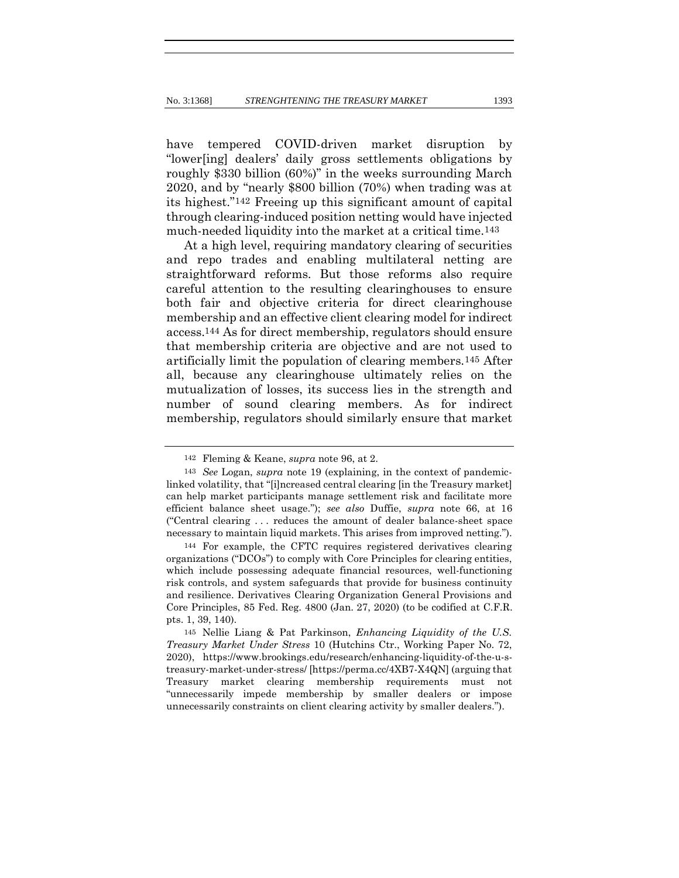have tempered COVID-driven market disruption by "lower[ing] dealers' daily gross settlements obligations by roughly \$330 billion (60%)" in the weeks surrounding March 2020, and by "nearly \$800 billion (70%) when trading was at its highest."142 Freeing up this significant amount of capital through clearing-induced position netting would have injected much-needed liquidity into the market at a critical time.<sup>143</sup>

At a high level, requiring mandatory clearing of securities and repo trades and enabling multilateral netting are straightforward reforms. But those reforms also require careful attention to the resulting clearinghouses to ensure both fair and objective criteria for direct clearinghouse membership and an effective client clearing model for indirect access.144 As for direct membership, regulators should ensure that membership criteria are objective and are not used to artificially limit the population of clearing members.145 After all, because any clearinghouse ultimately relies on the mutualization of losses, its success lies in the strength and number of sound clearing members. As for indirect membership, regulators should similarly ensure that market

<sup>142</sup> Fleming & Keane, *supra* note 96, at 2.

<sup>143</sup> *See* Logan, *supra* note 19 (explaining, in the context of pandemiclinked volatility, that "[i]ncreased central clearing [in the Treasury market] can help market participants manage settlement risk and facilitate more efficient balance sheet usage."); *see also* Duffie, *supra* note 66, at 16 ("Central clearing . . . reduces the amount of dealer balance-sheet space necessary to maintain liquid markets. This arises from improved netting.").

<sup>144</sup> For example, the CFTC requires registered derivatives clearing organizations ("DCOs") to comply with Core Principles for clearing entities, which include possessing adequate financial resources, well-functioning risk controls, and system safeguards that provide for business continuity and resilience. Derivatives Clearing Organization General Provisions and Core Principles, 85 Fed. Reg. 4800 (Jan. 27, 2020) (to be codified at C.F.R. pts. 1, 39, 140).

<sup>145</sup> Nellie Liang & Pat Parkinson, *Enhancing Liquidity of the U.S. Treasury Market Under Stress* 10 (Hutchins Ctr., Working Paper No. 72, 2020), https://www.brookings.edu/research/enhancing-liquidity-of-the-u-streasury-market-under-stress/ [https://perma.cc/4XB7-X4QN] (arguing that Treasury market clearing membership requirements must not "unnecessarily impede membership by smaller dealers or impose unnecessarily constraints on client clearing activity by smaller dealers.").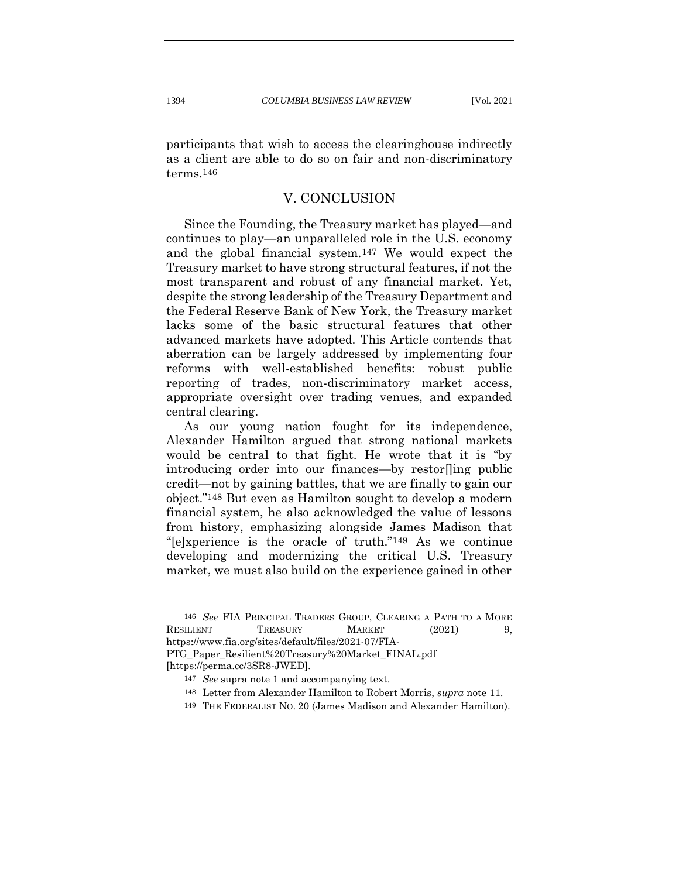participants that wish to access the clearinghouse indirectly as a client are able to do so on fair and non-discriminatory terms.146

### V. CONCLUSION

Since the Founding, the Treasury market has played—and continues to play—an unparalleled role in the U.S. economy and the global financial system.147 We would expect the Treasury market to have strong structural features, if not the most transparent and robust of any financial market. Yet, despite the strong leadership of the Treasury Department and the Federal Reserve Bank of New York, the Treasury market lacks some of the basic structural features that other advanced markets have adopted. This Article contends that aberration can be largely addressed by implementing four reforms with well-established benefits: robust public reporting of trades, non-discriminatory market access, appropriate oversight over trading venues, and expanded central clearing.

As our young nation fought for its independence, Alexander Hamilton argued that strong national markets would be central to that fight. He wrote that it is "by introducing order into our finances—by restor[]ing public credit—not by gaining battles, that we are finally to gain our object."148 But even as Hamilton sought to develop a modern financial system, he also acknowledged the value of lessons from history, emphasizing alongside James Madison that "[e]xperience is the oracle of truth."149 As we continue developing and modernizing the critical U.S. Treasury market, we must also build on the experience gained in other

<sup>146</sup> *See* FIA PRINCIPAL TRADERS GROUP, CLEARING A PATH TO A MORE RESILIENT TREASURY MARKET (2021) 9, https://www.fia.org/sites/default/files/2021-07/FIA-PTG\_Paper\_Resilient%20Treasury%20Market\_FINAL.pdf [https://perma.cc/3SR8-JWED].

<sup>147</sup> *See* supra note 1 and accompanying text.

<sup>148</sup> Letter from Alexander Hamilton to Robert Morris, *supra* note 11.

<sup>149</sup> THE FEDERALIST NO. 20 (James Madison and Alexander Hamilton).